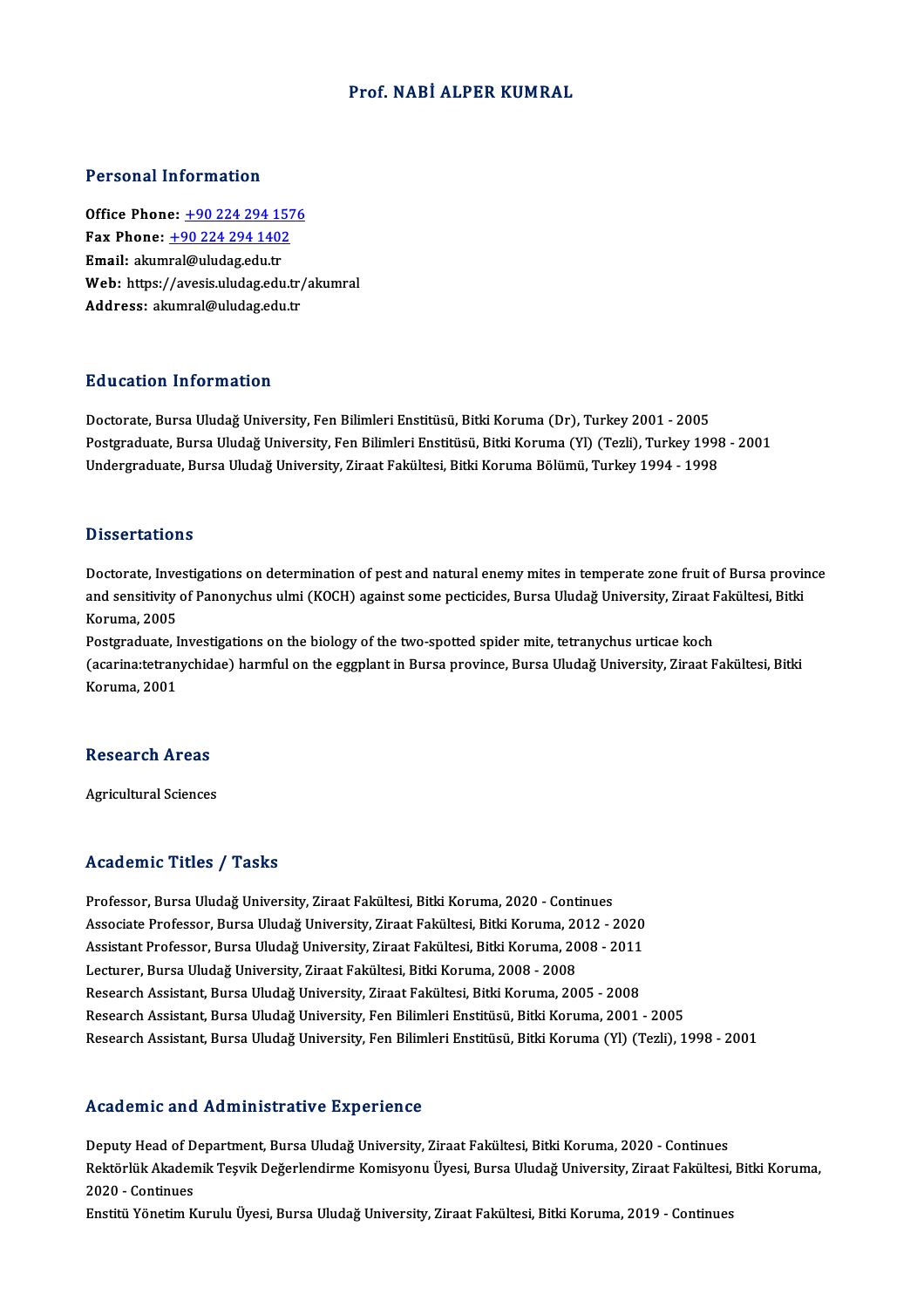#### Prof.NABİ ALPER KUMRAL

#### Personal Information

**Personal Information<br>Office Phone: +90 224 294 1576<br>Fax Phone: +90 224 294 1402** Fax Phone: <u>+90 224 294 157</u><br>Fax Phone: <u>+90 224 294 1402</u><br>Fmail: alumral@uludes.edu.tr Office Phone: <u>+90 224 294 15</u><br>Fax Phone: <u>+90 224 294 1402</u><br>Email: akum[ral@uludag.edu.tr](tel:+90 224 294 1402) Fax Phone:  $\pm$ 90 224 294 1402<br>Email: akumral@uludag.edu.tr<br>Web: https://avesis.uludag.edu.tr/akumral Address: akumral@uludag.edu.tr

#### Education Information

Doctorate, Bursa Uludağ University, Fen Bilimleri Enstitüsü, Bitki Koruma (Dr), Turkey 2001 - 2005 Postgraduate, Bursa Uludağ University, Fen Bilimleri Enstitüsü, Bitki Koruma (Yl) (Tezli), Turkey 1998 - 2001 Undergraduate, Bursa Uludağ University, Ziraat Fakültesi, Bitki Koruma Bölümü, Turkey 1994 - 1998

#### **Dissertations**

Dissertations<br>Doctorate, Investigations on determination of pest and natural enemy mites in temperate zone fruit of Bursa province<br>and consitivity of Penenychus ulmi (KOCH) against some postisides. Bursa Uludež University, Bassea tacroars<br>Doctorate, Investigations on determination of pest and natural enemy mites in temperate zone fruit of Bursa provi<br>Moruma 2005 Doctorate, Inve<br>and sensitivity<br>Koruma, 2005<br>Postanaduate, I and sensitivity of Panonychus ulmi (KOCH) against some pecticides, Bursa Uludağ University, Ziraat I<br>Koruma, 2005<br>Postgraduate, Investigations on the biology of the two-spotted spider mite, tetranychus urticae koch<br>Coorina

Koruma, 2005<br>Postgraduate, Investigations on the biology of the two-spotted spider mite, tetranychus urticae koch<br>(acarina:tetranychidae) harmful on the eggplant in Bursa province, Bursa Uludağ University, Ziraat Fakültesi Postgraduate, I<br>(acarina:tetran<br>Koruma, 2001

# Research Areas R<mark>esearch Areas</mark><br>Agricultural Sciences

# Agricultural Sciences<br>Academic Titles / Tasks

Professor, Bursa Uludağ University, Ziraat Fakültesi, Bitki Koruma, 2020 - Continues -<br>Associate Professor, Bursa Uludağ University, Ziraat Fakültesi, Bitki Koruma, 2020 - Continues<br>Associate Professor, Bursa Uludağ University, Ziraat Fakültesi, Bitki Koruma, 2012 - 2020<br>Assistant Professor, Bursa Uludağ U Professor, Bursa Uludağ University, Ziraat Fakültesi, Bitki Koruma, 2020 - Continues<br>Associate Professor, Bursa Uludağ University, Ziraat Fakültesi, Bitki Koruma, 2012 - 2020<br>Assistant Professor, Bursa Uludağ University, Z Associate Professor, Bursa Uludağ University, Ziraat Fakültesi, Bitki Koruma, 20<br>Assistant Professor, Bursa Uludağ University, Ziraat Fakültesi, Bitki Koruma, 20<br>Lecturer, Bursa Uludağ University, Ziraat Fakültesi, Bitki K Assistant Professor, Bursa Uludağ University, Ziraat Fakültesi, Bitki Koruma, 2008 - 2011<br>Lecturer, Bursa Uludağ University, Ziraat Fakültesi, Bitki Koruma, 2008 - 2008<br>Research Assistant, Bursa Uludağ University, Ziraat F Lecturer, Bursa Uludağ University, Ziraat Fakültesi, Bitki Koruma, 2008 - 2008<br>Research Assistant, Bursa Uludağ University, Ziraat Fakültesi, Bitki Koruma, 2005 - 2008<br>Research Assistant, Bursa Uludağ University, Fen Bilim Research Assistant, Bursa Uludağ University, Fen Bilimleri Enstitüsü, Bitki Koruma, 2001 - 2005<br>Research Assistant, Bursa Uludağ University, Fen Bilimleri Enstitüsü, Bitki Koruma (Yl) (Tezli), 1998 - 2001

#### Academic and Administrative Experience

Academic and Administrative Experience<br>Deputy Head of Department, Bursa Uludağ University, Ziraat Fakültesi, Bitki Koruma, 2020 - Continues<br>Rektörlük Akademik Tesvik Değerlendirme Komisyonu Üyesi, Bursa Uludağ University, Rektörlük Akademik Teşvik Değerlendirme Komisyonu Üyesi, Bursa Uludağ University, Ziraat Fakültesi, Bitki Koruma,<br>2020 - Continues Deputy Head of D<br>Rektörlük Akaden<br>2020 - Continues<br>Enstitü Vänstim K Enstitü Yönetim Kurulu Üyesi, Bursa Uludağ University, Ziraat Fakültesi, Bitki Koruma, 2019 - Continues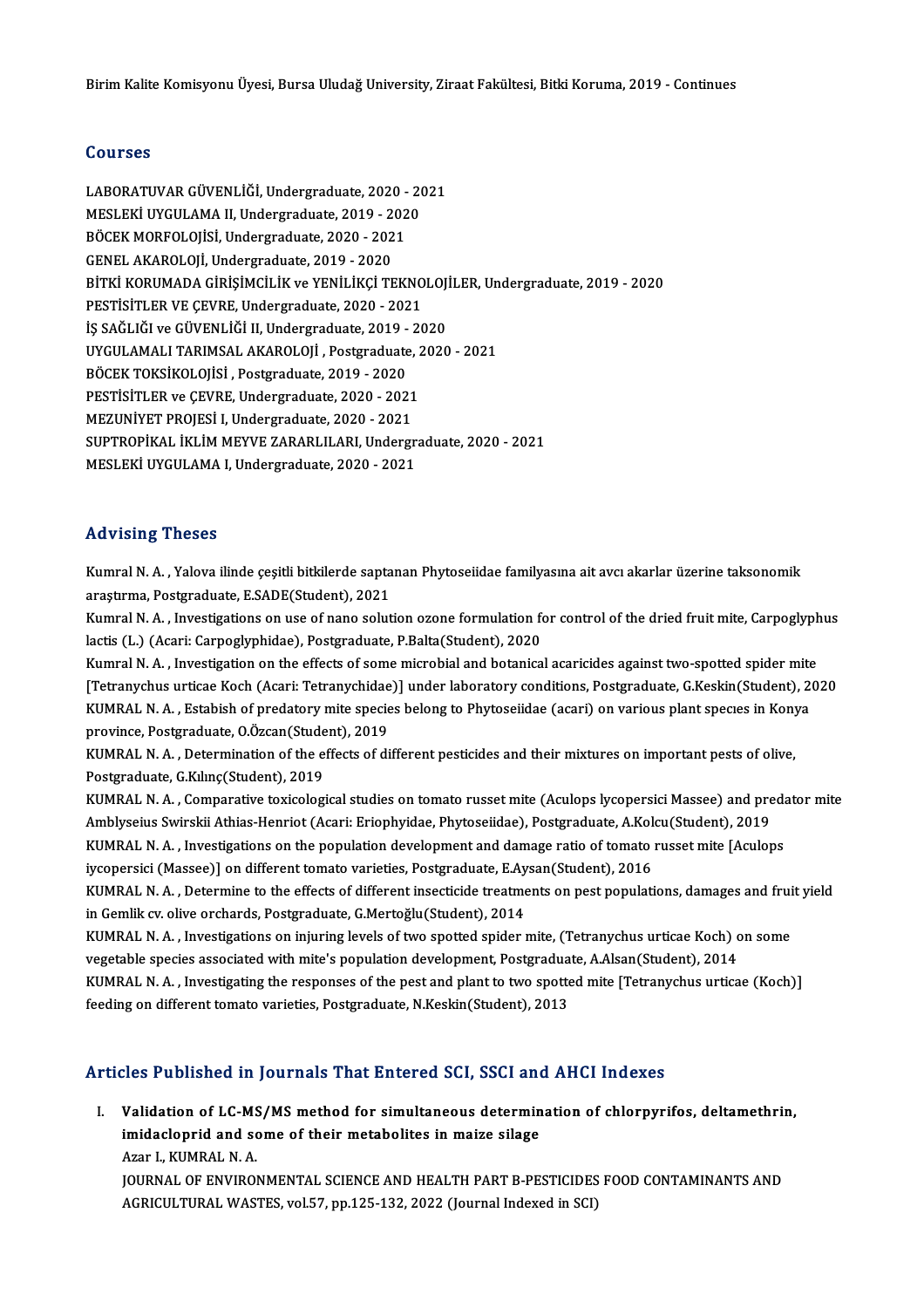#### Courses

Courses<br>LABORATUVAR GÜVENLİĞİ, Undergraduate, 2020 - 2021<br>MESLEKİ UVCULAMA IL Undergraduate, 2019 - 2020 SSATSSS<br>LABORATUVAR GÜVENLİĞİ, Undergraduate, 2020 - 20<br>MESLEKİ UYGULAMA II, Undergraduate, 2019 - 2020<br>PÖCEK MOREOLOUSİ, Undergraduate, 2020 - 2021 LABORATUVAR GÜVENLİĞİ, Undergraduate, 2020 -<br>MESLEKİ UYGULAMA II, Undergraduate, 2019 - 202<br>BÖCEK MORFOLOJİSİ, Undergraduate, 2020 - 2021<br>CENEL AKAROLOJİ Undergraduate, 2019 - 2020 MESLEKİ UYGULAMA II, Undergraduate, 2019 - 2<br>BÖCEK MORFOLOJİSİ, Undergraduate, 2020 - 202<br>GENEL AKAROLOJİ, Undergraduate, 2019 - 2020<br>PİTKİ KORUMADA GİRİSİMCİLİK ve YENİLİKÇİ TE GENEL AKAROLOJİ, Undergraduate, 2019 - 2020<br>BİTKİ KORUMADA GİRİSİMCİLİK ve YENİLİKCİ TEKNOLOJİLER, Undergraduate, 2019 - 2020 PESTİSİTLER VE ÇEVRE, Undergraduate, 2020 - 2021 BİTKİ KORUMADA GİRİŞİMCİLİK ve YENİLİKÇİ TEKNOLOJ<br>PESTİSİTLER VE ÇEVRE, Undergraduate, 2020 - 2021<br>İŞ SAĞLIĞI ve GÜVENLİĞİ II, Undergraduate, 2019 - 2020<br>UVCULAMALI TARIMSAL AKAROLOJİ, Pestaraduate, 2020 PESTİSİTLER VE ÇEVRE, Undergraduate, 2020 - 2021<br>İŞ SAĞLIĞI ve GÜVENLİĞİ II, Undergraduate, 2019 - 2020<br>UYGULAMALI TARIMSAL AKAROLOJİ , Postgraduate, 2020 - 2021<br>PÖCEK TOKSİKOLOJİSİ, Postgraduate, 2019, 2020 İŞ SAĞLIĞI ve GÜVENLİĞİ II, Undergraduate, 2019 -<br>UYGULAMALI TARIMSAL AKAROLOJİ , Postgraduate<br>BÖCEK TOKSİKOLOJİSİ , Postgraduate, 2019 - 2020<br>PESTİSİTI ER ve CEVRE , Undergraduate, 2020 - 202 UYGULAMALI TARIMSAL AKAROLOJİ , Postgraduate, 2<br>BÖCEK TOKSİKOLOJİSİ , Postgraduate, 2019 - 2020<br>PESTİSİTLER ve ÇEVRE, Undergraduate, 2020 - 2021<br>MEZUNİVET PROJESİ I, Undergraduate, 2020 - 2021 BÖCEK TOKSİKOLOJİSİ , Postgraduate, 2019 - 2020<br>PESTİSİTLER ve ÇEVRE, Undergraduate, 2020 - 2021<br>MEZUNİYET PROJESİ I, Undergraduate, 2020 - 2021 PESTISITLER ve ÇEVRE, Undergraduate, 2020 - 2021<br>MEZUNIYET PROJESİ I, Undergraduate, 2020 - 2021<br>SUPTROPİKAL İKLİM MEYVE ZARARLILARI, Undergraduate, 2020 - 2021<br>MESLEKİ UVCULAMA LUndergraduate, 2020, 2021 MEZUNİYET PROJESİ I, Undergraduate, 2020 - 2021<br>SUPTROPİKAL İKLİM MEYVE ZARARLILARI, Undergr:<br>MESLEKİ UYGULAMA I, Undergraduate, 2020 - 2021 MESLEKİ UYGULAMA I, Undergraduate, 2020 - 2021<br>Advising Theses

Advising Theses<br>Kumral N. A. , Yalova ilinde çeşitli bitkilerde saptanan Phytoseiidae familyasına ait avcı akarlar üzerine taksonomik<br>arastırma, Bostaraduata, ESADE(Student), 2021 raa vasing "riceses"<br>Kumral N. A. , Yalova ilinde çeşitli bitkilerde sapta<br>araştırma, Postgraduate, E.SADE(Student), 2021<br>Kumral N. A. . Investigations en use of nano solut Kumral N. A. , Yalova ilinde çeşitli bitkilerde saptanan Phytoseiidae familyasına ait avcı akarlar üzerine taksonomik<br>araştırma, Postgraduate, E.SADE(Student), 2021<br>Kumral N. A. , Investigations on use of nano solution ozo

araştırma, Postgraduate, E.SADE(Student), 2021<br>Kumral N. A. , Investigations on use of nano solution ozone formulation fo<br>lactis (L.) (Acari: Carpoglyphidae), Postgraduate, P.Balta(Student), 2020<br>Kumral N. A. , Investigati Kumral N. A. , Investigations on use of nano solution ozone formulation for control of the dried fruit mite, Carpoglyph<br>lactis (L.) (Acari: Carpoglyphidae), Postgraduate, P.Balta(Student), 2020<br>Kumral N. A. , Investigation

lactis (L.) (Acari: Carpoglyphidae), Postgraduate, P.Balta(Student), 2020<br>Kumral N. A. , Investigation on the effects of some microbial and botanical acaricides against two-spotted spider mite<br>[Tetranychus urticae Koch (Ac Kumral N. A. , Investigation on the effects of some microbial and botanical acaricides against two-spotted spider mite<br>[Tetranychus urticae Koch (Acari: Tetranychidae)] under laboratory conditions, Postgraduate, G.Keskin(S [Tetranychus urticae Koch (Acari: Tetranychidae<br>KUMRAL N. A. , Estabish of predatory mite specie<br>province, Postgraduate, O.Özcan(Student), 2019<br>KUMRAL N. A., Determination of the effecte of di KUMRAL N. A. , Estabish of predatory mite species belong to Phytoseiidae (acari) on various plant species in Kony<br>province, Postgraduate, O.Özcan(Student), 2019<br>KUMRAL N. A. , Determination of the effects of different pest

province, Postgraduate, O.Özcan(Stude<br>KUMRAL N. A. , Determination of the e.<br>Postgraduate, G.Kılınç(Student), 2019<br>KUMRAL N. A., Comparative taviselegi KUMRAL N. A. , Determination of the effects of different pesticides and their mixtures on important pests of olive,<br>Postgraduate, G.Kılınç(Student), 2019<br>KUMRAL N. A. , Comparative toxicological studies on tomato russet mi

Postgraduate, G.Kılınç(Student), 2019<br>KUMRAL N. A. , Comparative toxicological studies on tomato russet mite (Aculops lycopersici Massee) and pre<br>Amblyseius Swirskii Athias-Henriot (Acari: Eriophyidae, Phytoseiidae), Postg KUMRAL N. A. , Comparative toxicological studies on tomato russet mite (Aculops lycopersici Massee) and preda<br>Amblyseius Swirskii Athias-Henriot (Acari: Eriophyidae, Phytoseiidae), Postgraduate, A.Kolcu(Student), 2019<br>KUMR Amblyseius Swirskii Athias-Henriot (Acari: Eriophyidae, Phytoseiidae), Postgraduate, A.Kol<br>KUMRAL N. A. , Investigations on the population development and damage ratio of tomato<br>iycopersici (Massee)] on different tomato va

KUMRAL N. A. , Investigations on the population development and damage ratio of tomato russet mite [Aculops<br>iycopersici (Massee)] on different tomato varieties, Postgraduate, E.Aysan(Student), 2016<br>KUMRAL N. A. , Determine iycopersici (Massee)] on different tomato varieties, Postgraduate, E.Ay<br>KUMRAL N. A. , Determine to the effects of different insecticide treatme<br>in Gemlik cv. olive orchards, Postgraduate, G.Mertoğlu(Student), 2014<br>KUMPAL KUMRAL N. A. , Determine to the effects of different insecticide treatments on pest populations, damages and frui<br>in Gemlik cv. olive orchards, Postgraduate, G.Mertoğlu(Student), 2014<br>KUMRAL N. A. , Investigations on injur

in Gemlik cv. olive orchards, Postgraduate, G.Mertoğlu(Student), 2014<br>KUMRAL N. A. , Investigations on injuring levels of two spotted spider mite, (Tetranychus urticae Koch) c<br>vegetable species associated with mite's popul KUMRAL N. A. , Investigations on injuring levels of two spotted spider mite, (Tetranychus urticae Koch) on some<br>vegetable species associated with mite's population development, Postgraduate, A.Alsan(Student), 2014<br>KUMRAL N vegetable species associated with mite's population development, Postgradua<br>KUMRAL N. A. , Investigating the responses of the pest and plant to two spotte<br>feeding on different tomato varieties, Postgraduate, N.Keskin(Stude

### Articles Published in Journals That Entered SCI, SSCI and AHCI Indexes

rticles Published in Journals That Entered SCI, SSCI and AHCI Indexes<br>I. Validation of LC-MS/MS method for simultaneous determination of chlorpyrifos, deltamethrin,<br>imideelenuid and seme of their metabolites in maine siles vice i defining in journals that differed bor, boot and<br>Validation of LC-MS/MS method for simultaneous determin<br>imidacloprid and some of their metabolites in maize silage **Validation of LC-MS<br>imidacloprid and sc<br>Azar I., KUMRAL N. A.<br>JOUPNAL OF ENVUPOL** imidacloprid and some of their metabolites in maize silage<br>Azar I., KUMRAL N. A.<br>JOURNAL OF ENVIRONMENTAL SCIENCE AND HEALTH PART B-PESTICIDES FOOD CONTAMINANTS AND

AGRICULTURAL WASTES, vol.57, pp.125-132, 2022 (Journal Indexed in SCI)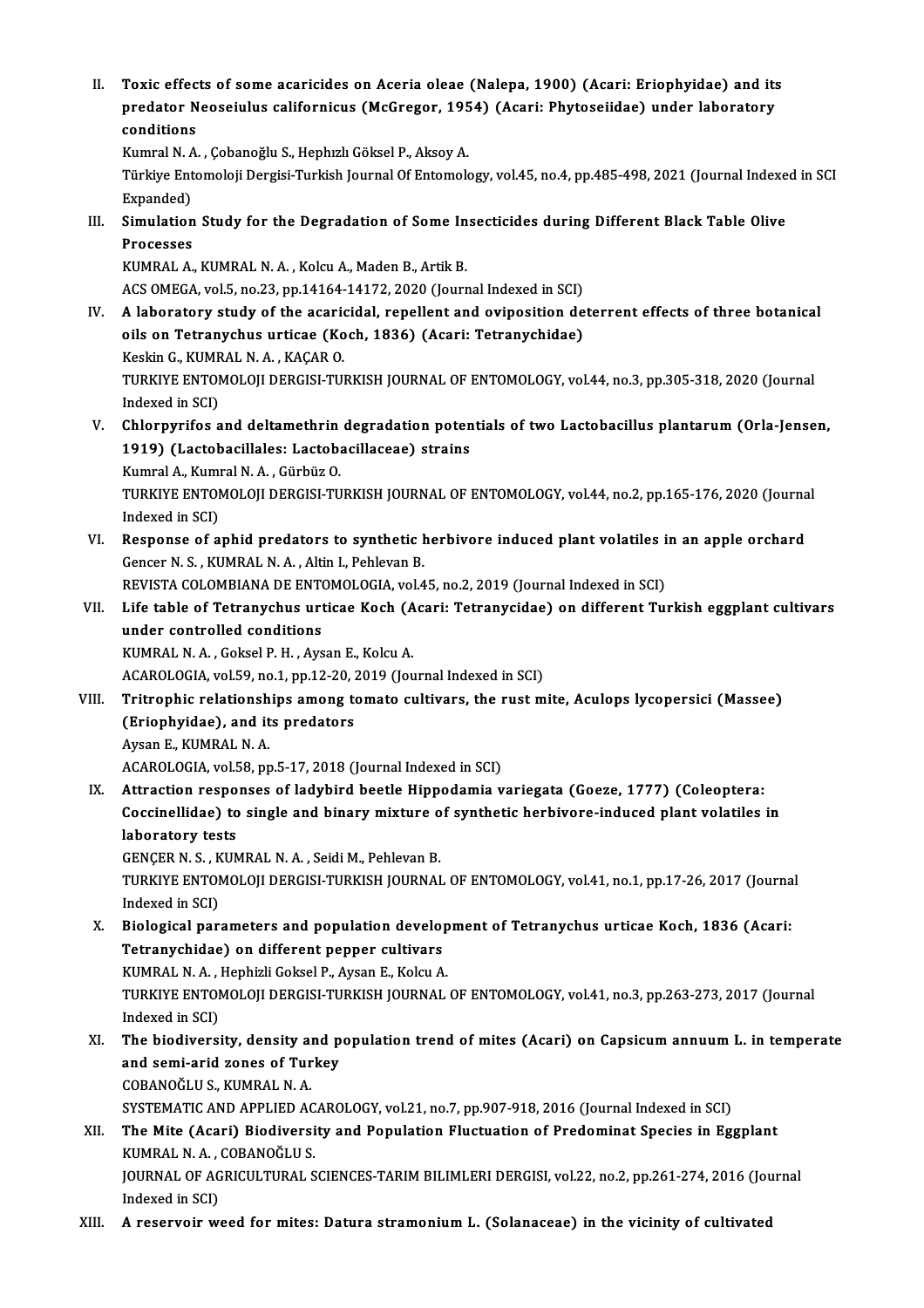II. Toxic effects of some acaricides on Aceria oleae (Nalepa, 1900) (Acari: Eriophyidae) and its<br>nuedator Neoseiulus selifornique (MeCrosor, 1954) (Acari: Phytoseiidee) under laboratory Toxic effects of some acaricides on Aceria oleae (Nalepa, 1900) (Acari: Eriophyidae) and its<br>predator Neoseiulus californicus (McGregor, 1954) (Acari: Phytoseiidae) under laboratory Toxic effec<br>predator N<br>conditions<br><sup>Kumrel N</sup>.A predator Neoseiulus californicus (McGregor, 195<br>conditions<br>Kumral N. A. , Çobanoğlu S., Hephızlı Göksel P., Aksoy A.<br>Türkiye Entemoleji Dergisi Turkish Journal Of Entemole

conditions<br>Kumral N. A. , Çobanoğlu S., Hephızlı Göksel P., Aksoy A.<br>Türkiye Entomoloji Dergisi-Turkish Journal Of Entomology, vol.45, no.4, pp.485-498, 2021 (Journal Indexed in SCI<br>Expanded) Kumral N. A<br>Türkiye Ent<br>Expanded)<br>Simulation Türkiye Entomoloji Dergisi-Turkish Journal Of Entomology, vol.45, no.4, pp.485-498, 2021 (Journal Indexe<br>Expanded)<br>III. Simulation Study for the Degradation of Some Insecticides during Different Black Table Olive<br>Processes

Expanded)<br>Simulation<br>Processes<br>KUMPALA Simulation Study for the Degradation of Some In<br>Processes<br>KUMRAL A., KUMRAL N. A. , Kolcu A., Maden B., Artik B.<br>ACS OMECA .vel 5, no.22, np.14164,14172,2020 (Journ

Processes<br>KUMRAL A., KUMRAL N. A. , Kolcu A., Maden B., Artik B.<br>ACS OMEGA, vol.5, no.23, pp.14164-14172, 2020 (Journal Indexed in SCI)<br>A laboratory study of the assrigidal, repellent and evipesition de

- IV. KUMRAL A., KUMRAL N. A. , Kolcu A., Maden B., Artik B.<br>ACS OMEGA, vol.5, no.23, pp.14164-14172, 2020 (Journal Indexed in SCI)<br>IV. A laboratory study of the acaricidal, repellent and oviposition deterrent effects of thr ACS OMEGA, vol.5, no.23, pp.14164-14172, 2020 (Journal Indexed in SCI)<br>A laboratory study of the acaricidal, repellent and oviposition de<br>oils on Tetranychus urticae (Koch, 1836) (Acari: Tetranychidae)<br>Keskin G, KUMBAL N, KeskinG.,KUMRALN.A. ,KAÇARO. oils on Tetranychus urticae (Koch, 1836) (Acari: Tetranychidae)<br>Keskin G., KUMRAL N. A. , KAÇAR O.<br>TURKIYE ENTOMOLOJI DERGISI-TURKISH JOURNAL OF ENTOMOLOGY, vol.44, no.3, pp.305-318, 2020 (Journal<br>Indeved in SCD. Keskin G., KUMF<br>TURKIYE ENTOI<br>Indexed in SCI)<br>Chlarnwrifes a TURKIYE ENTOMOLOJI DERGISI-TURKISH JOURNAL OF ENTOMOLOGY, vol.44, no.3, pp.305-318, 2020 (Journal<br>Indexed in SCI)<br>V. Chlorpyrifos and deltamethrin degradation potentials of two Lactobacillus plantarum (Orla-Jensen,<br>1919) (
- Indexed in SCI)<br>Chlorpyrifos and deltamethrin degradation poten<br>1919) (Lactobacillales: Lactobacillaceae) strains<br>Kumral A. Kumral N.A. Gürbüz Q Chlorpyrifos and deltamethrin<br>1919) (Lactobacillales: Lactob.<br>Kumral A., Kumral N. A. , Gürbüz O.<br>TURKIVE ENTOMOLOU DERCISI TU 1919) (Lactobacillales: Lactobacillaceae) strains<br>Kumral A., Kumral N. A. , Gürbüz O.<br>TURKIYE ENTOMOLOJI DERGISI-TURKISH JOURNAL OF ENTOMOLOGY, vol.44, no.2, pp.165-176, 2020 (Journal<br>Indeved in SCL) Kumral A., Kumi<br>TURKIYE ENTOI<br>Indexed in SCI)<br>Besponse of a TURKIYE ENTOMOLOJI DERGISI-TURKISH JOURNAL OF ENTOMOLOGY, vol.44, no.2, pp.165-176, 2020 (Journa<br>Indexed in SCI)<br>VI. Response of aphid predators to synthetic herbivore induced plant volatiles in an apple orchard<br>Concer N.S
- Indexed in SCI)<br>VI. Response of aphid predators to synthetic herbivore induced plant volatiles in an apple orchard<br>Gencer N. S. , KUMRAL N. A. , Altin I., Pehlevan B. Response of aphid predators to synthetic herbivore induced plant volatiles i<br>Gencer N. S., KUMRAL N. A., Altin I., Pehlevan B.<br>REVISTA COLOMBIANA DE ENTOMOLOGIA, vol.45, no.2, 2019 (Journal Indexed in SCI)<br>Life table of Te Gencer N. S. , KUMRAL N. A. , Altin I., Pehlevan B.<br>REVISTA COLOMBIANA DE ENTOMOLOGIA, vol.45, no.2, 2019 (Journal Indexed in SCI)<br>VII. Life table of Tetranychus urticae Koch (Acari: Tetranycidae) on different Turkish
- REVISTA COLOMBIANA DE ENT<br>Life table of Tetranychus urt<br>under controlled conditions<br>KUMBAL N.A. Colool B.H. Ave Life table of Tetranychus urticae Koch (A<br>under controlled conditions<br>KUMRAL N. A., Goksel P. H., Aysan E., Kolcu A.<br>ACAPOLOCIA. vol 59 no 1 nn 12 20 2019 (Jou under controlled conditions<br>KUMRAL N. A. , Goksel P. H. , Aysan E., Kolcu A.<br>ACAROLOGIA, vol.59, no.1, pp.12-20, 2019 (Journal Indexed in SCI)

VIII. Tritrophic relationships among tomato cultivars, the rust mite, Aculops lycopersici (Massee) ACAROLOGIA, vol.59, no.1, pp.12-20, 2<br>Tritrophic relationships among to<br>(Eriophyidae), and its predators<br>Aygan E. KIMPAL N.A Tritrophic relationsh<br>(Eriophyidae), and it<br>Aysan E., KUMRAL N. A.<br>ACABOLOCIA vol 59 nn Aysan E., KUMRAL N. A.<br>ACAROLOGIA, vol.58, pp.5-17, 2018 (Journal Indexed in SCI) Aysan E., KUMRAL N. A.<br>ACAROLOGIA, vol.58, pp.5-17, 2018 (Journal Indexed in SCI)<br>IX. Attraction responses of ladybird beetle Hippodamia variegata (Goeze, 1777) (Coleoptera:<br>Cogginallidae) to single and binery mixture of s

ACAROLOGIA, vol.58, pp.5-17, 2018 (Journal Indexed in SCI)<br>Attraction responses of ladybird beetle Hippodamia variegata (Goeze, 1777) (Coleoptera:<br>Coccinellidae) to single and binary mixture of synthetic herbivore-induced **Attraction respo<br>Coccinellidae) to<br>laboratory tests<br>CENCED N.S., KIN** Coccinellidae) to single and binary mixture o<br>laboratory tests<br>GENÇER N. S. , KUMRAL N. A. , Seidi M., Pehlevan B.<br>TURKIVE ENTOMOLOU DERGISI TURKISH JOURNAL

laboratory tests<br>GENÇER N. S. , KUMRAL N. A. , Seidi M., Pehlevan B.<br>TURKIYE ENTOMOLOJI DERGISI-TURKISH JOURNAL OF ENTOMOLOGY, vol.41, no.1, pp.17-26, 2017 (Journal<br>Indexed in SCI) GENÇER N. S., KUMRAL N. A., Seidi M., Pehlevan B. TURKIYE ENTOMOLOJI DERGISI-TURKISH JOURNAL OF ENTOMOLOGY, vol.41, no.1, pp.17-26, 2017 (Journa<br>Indexed in SCI)<br>X. Biological parameters and population development of Tetranychus urticae Koch, 1836 (Acari:<br>Tetranychidae) on

- Indexed in SCI)<br>Biological parameters and population develo<sub>]</sub><br>Tetranychidae) on different pepper cultivars<br>KUMPAL N.A., Hophirli Colrel P. Avcan E. Kolru A Biological parameters and population develop<br>Tetranychidae) on different pepper cultivars<br>KUMRAL N. A. , Hephizli Goksel P., Aysan E., Kolcu A.<br>TURKIVE ENTOMOLOU DERCISI TURKISH JOURNAL Tetranychidae) on different pepper cultivars<br>KUMRAL N. A. , Hephizli Goksel P., Aysan E., Kolcu A.<br>TURKIYE ENTOMOLOJI DERGISI-TURKISH JOURNAL OF ENTOMOLOGY, vol.41, no.3, pp.263-273, 2017 (Journal<br>Indoved in SCD. KUMRAL N. A. ,<br>TURKIYE ENTOI<br>Indexed in SCI)<br>The hiediversi
- Indexed in SCI)<br>XI. The biodiversity, density and population trend of mites (Acari) on Capsicum annuum L. in temperate Indexed in SCI)<br>The biodiversity, density and p<br>and semi-arid zones of Turkey<br>CORANOČLUS, KUMBAL N.A. The biodiversity, density and<br>and semi-arid zones of Tur<br>COBANOĞLU S., KUMRAL N. A.<br>SYSTEMATIC AND APPLIED AG and semi-arid zones of Turkey<br>COBANOĞLU S., KUMRAL N. A.<br>SYSTEMATIC AND APPLIED ACAROLOGY, vol.21, no.7, pp.907-918, 2016 (Journal Indexed in SCI)<br>The Mite (Aceri) Biodiversity and Benulation Elustuation of Prodominat Spec COBANOĞLU S., KUMRAL N. A.<br>SYSTEMATIC AND APPLIED ACAROLOGY, vol.21, no.7, pp.907-918, 2016 (Journal Indexed in SCI)<br>XII. The Mite (Acari) Biodiversity and Population Fluctuation of Predominat Species in Eggplant
- SYSTEMATIC AND APPLIED AC<br>The Mite (Acari) Biodiversi<br>KUMRAL N. A. , COBANOĞLU S.<br>IQUPNAL OF ACRICULTUPAL S JOURNAL OF AGRICULTURAL SCIENCES-TARIM BILIMLERI DERGISI, vol.22, no.2, pp.261-274, 2016 (Journal Indexed in SCI) KUMRAL N.A., COBANOĞLU S.
- XIII. A reservoir weed for mites: Datura stramonium L. (Solanaceae) in the vicinity of cultivated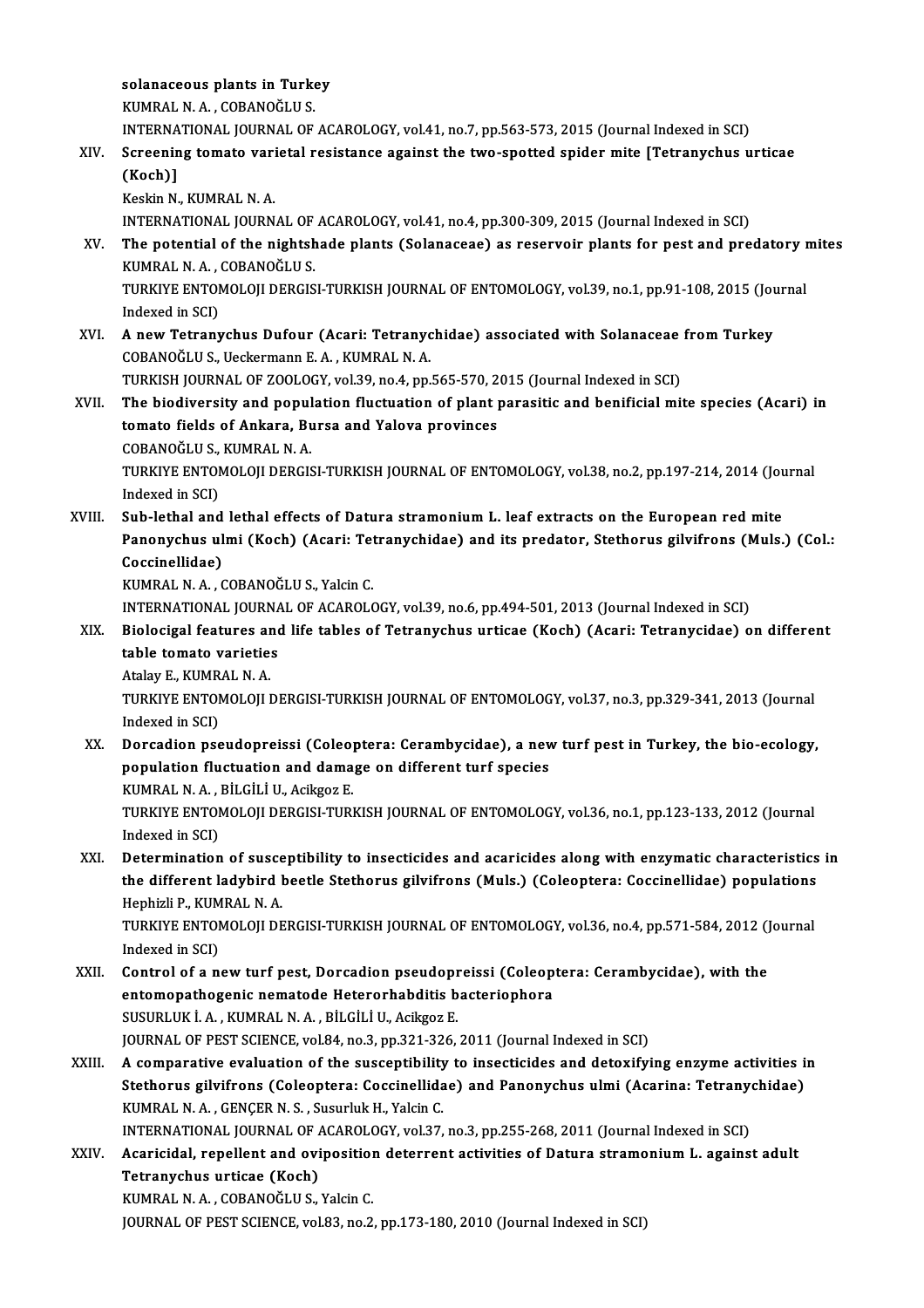solanaceous plants in Turkey<br>VUMPAL N.A., CORANOČUUS Solanaceous plants in Turk<br>KUMRAL N.A., COBANOĞLU S.<br>INTERNATIONAL IQURNAL OF

KUMRAL N. A. , COBANOĞLU S.<br>INTERNATIONAL JOURNAL OF ACAROLOGY, vol.41, no.7, pp.563-573, 2015 (Journal Indexed in SCI)

## KUMRAL N. A. , COBANOĞLU S.<br>INTERNATIONAL JOURNAL OF ACAROLOGY, vol.41, no.7, pp.563-573, 2015 (Journal Indexed in SCI)<br>XIV. Screening tomato varietal resistance against the two-spotted spider mite [Tetranychus urticae INTERNA<br>Screenir<br>(Koch)]<br><sup>Kockin N</sup> Screening tomato vari<br>(Koch)]<br>Keskin N., KUMRAL N. A.<br>INTERNATIONAL JOURN

(Koch)]<br>Keskin N., KUMRAL N. A.<br>INTERNATIONAL JOURNAL OF ACAROLOGY, vol.41, no.4, pp.300-309, 2015 (Journal Indexed in SCI)

XV. The potential of the nightshade plants (Solanaceae) as reservoir plants for pest and predatorymites INTERNATIONAL JOURNAL OF<br>The potential of the nightsh<br>KUMRAL N. A. , COBANOĞLU S.<br>TURKIVE ENTOMOLOU DERCIS The potential of the nightshade plants (Solanaceae) as reservoir plants for pest and predatory i<br>KUMRAL N. A. , COBANOĞLU S.<br>TURKIYE ENTOMOLOJI DERGISI-TURKISH JOURNAL OF ENTOMOLOGY, vol.39, no.1, pp.91-108, 2015 (Journal<br>

KUMRAL N. A.,<br>TURKIYE ENTOI<br>Indexed in SCI)<br>A now Tetrany TURKIYE ENTOMOLOJI DERGISI-TURKISH JOURNAL OF ENTOMOLOGY, vol.39, no.1, pp.91-108, 2015 (Journal Indexed in SCI)<br>XVI. A new Tetranychus Dufour (Acari: Tetranychidae) associated with Solanaceae from Turkey

Indexed in SCI)<br>XVI. A new Tetranychus Dufour (Acari: Tetranychidae) associated with Solanaceae from Turkey<br>COBANOĞLU S., Ueckermann E. A. , KUMRAL N. A. A new Tetranychus Dufour (Acari: Tetranychidae) associated with Solanaceae<br>COBANOĞLU S., Ueckermann E. A. , KUMRAL N. A.<br>TURKISH JOURNAL OF ZOOLOGY, vol.39, no.4, pp.565-570, 2015 (Journal Indexed in SCI)<br>The biodiversity

COBANOĞLU S., Ueckermann E. A. , KUMRAL N. A.<br>TURKISH JOURNAL OF ZOOLOGY, vol.39, no.4, pp.565-570, 2015 (Journal Indexed in SCI)<br>XVII. The biodiversity and population fluctuation of plant parasitic and benificial mite spe TURKISH JOURNAL OF ZOOLOGY, vol.39, no.4, pp.565-570, 2<br>The biodiversity and population fluctuation of plant <sub>1</sub><br>tomato fields of Ankara, Bursa and Yalova provinces<br>CORANOČLUS, KUMBAL N.A. The biodiversity and popul<br>tomato fields of Ankara, Bu<br>COBANOĞLU S., KUMRAL N. A.<br>TURKIVE ENTOMOLOU DERCIS COBANOĞLU S., KUMRAL N. A.

tomato fields of Ankara, Bursa and Yalova provinces<br>COBANOĞLU S., KUMRAL N. A.<br>TURKIYE ENTOMOLOJI DERGISI-TURKISH JOURNAL OF ENTOMOLOGY, vol.38, no.2, pp.197-214, 2014 (Journal<br>Indexed in SCI) TURKIYE ENTOMOLOJI DERGISI-TURKISH JOURNAL OF ENTOMOLOGY, vol.38, no.2, pp.197-214, 2014 (Journal indexed in SCI)<br>XVIII. Sub-lethal and lethal effects of Datura stramonium L. leaf extracts on the European red mite<br>Repeatur

Indexed in SCI)<br>Sub-lethal and lethal effects of Datura stramonium L. leaf extracts on the European red mite<br>Panonychus ulmi (Koch) (Acari: Tetranychidae) and its predator, Stethorus gilvifrons (Muls.) (Col.:<br>Cossinellidae Sub-lethal and<br>Panonychus ul<br>Coccinellidae)<br><sup>VIIMDAL N.A.</sup> Panonychus ulmi (Koch) (Acari: Tet<br>Coccinellidae)<br>KUMRAL N. A. , COBANOĞLU S., Yalcin C.<br>INTERNATIONAL JOURNAL OF ACAROLO Coccinellidae)<br>KUMRAL N. A. , COBANOĞLU S., Yalcin C.<br>INTERNATIONAL JOURNAL OF ACAROLOGY, vol.39, no.6, pp.494-501, 2013 (Journal Indexed in SCI)<br>Biologizal foatures and life tables of Tetranyshus urtigae (Kosh) (Assri: Te

KUMRAL N. A. , COBANOĞLU S., Yalcin C.<br>INTERNATIONAL JOURNAL OF ACAROLOGY, vol.39, no.6, pp.494-501, 2013 (Journal Indexed in SCI)<br>XIX. Biolocigal features and life tables of Tetranychus urticae (Koch) (Acari: Tetranyc INTERNATIONAL JOURNA<br>Biolocigal features and<br>table tomato varieties<br>Atalay F. KUMPAL N.A. Biolocigal features an<br>table tomato varietie:<br>Atalay E., KUMRAL N. A.<br>TURKIVE ENTOMOLOU I

table tomato varieties<br>Atalay E., KUMRAL N. A.<br>TURKIYE ENTOMOLOJI DERGISI-TURKISH JOURNAL OF ENTOMOLOGY, vol.37, no.3, pp.329-341, 2013 (Journal Atalay E., KUMR<br>TURKIYE ENTOI<br>Indexed in SCI)<br>Dorsadion nas TURKIYE ENTOMOLOJI DERGISI-TURKISH JOURNAL OF ENTOMOLOGY, vol.37, no.3, pp.329-341, 2013 (Journal<br>Indexed in SCI)<br>XX. Dorcadion pseudopreissi (Coleoptera: Cerambycidae), a new turf pest in Turkey, the bio-ecology,<br>nonvisio

Indexed in SCI)<br>Dorcadion pseudopreissi (Coleoptera: Cerambycidae), a new<br>population fluctuation and damage on different turf species<br>KUMPAL N.A., RUCU ULLAGESE Dorcadion pseudopreissi (Coleo<sub>)</sub><br>population fluctuation and dama<br>KUMRAL N. A. , BİLGİLİ U., Acikgoz E.<br>TURKIYE ENTOMOLOU DERCISI TURI population fluctuation and damage on different turf species<br>KUMRAL N. A. , BİLGİLİ U., Acikgoz E.<br>TURKIYE ENTOMOLOJI DERGISI-TURKISH JOURNAL OF ENTOMOLOGY, vol.36, no.1, pp.123-133, 2012 (Journal<br>Indeved in SCL)

KUMRAL N. A. ,<br>TURKIYE ENTOI<br>Indexed in SCI)<br>Determination TURKIYE ENTOMOLOJI DERGISI-TURKISH JOURNAL OF ENTOMOLOGY, vol.36, no.1, pp.123-133, 2012 (Journal<br>Indexed in SCI)<br>XXI. Determination of susceptibility to insecticides and acaricides along with enzymatic characteristics in<br>

Indexed in SCI)<br>Determination of susceptibility to insecticides and acaricides along with enzymatic characteristics<br>the different ladybird beetle Stethorus gilvifrons (Muls.) (Coleoptera: Coccinellidae) populations<br>Hephirl **Determination of susce<br>the different ladybird |<br>Hephizli P., KUMRAL N. A.<br>TURKIVE ENTOMOLOU DE** the different ladybird beetle Stethorus gilvifrons (Muls.) (Coleoptera: Coccinellidae) populations<br>Hephizli P., KUMRAL N. A.<br>TURKIYE ENTOMOLOJI DERGISI-TURKISH JOURNAL OF ENTOMOLOGY, vol.36, no.4, pp.571-584, 2012 (Journal

Hephizli P., KUM<br>TURKIYE ENTOI<br>Indexed in SCI)<br>Control of a n TURKIYE ENTOMOLOJI DERGISI-TURKISH JOURNAL OF ENTOMOLOGY, vol.36, no.4, pp.571-584, 2012 (J<br>Indexed in SCI)<br>XXII. Control of a new turf pest, Dorcadion pseudopreissi (Coleoptera: Cerambycidae), with the<br>ontemenatheranic ne

- Indexed in SCI)<br>Control of a new turf pest, Dorcadion pseudopreissi (Coleop<br>entomopathogenic nematode Heterorhabditis bacteriophora<br>SUSURLUK LA, KUMPALNA, PUCULU Asiksor F Control of a new turf pest, Dorcadion pseudopr<br>entomopathogenic nematode Heterorhabditis b<br>SUSURLUKİ.A., KUMRAL N.A., BİLGİLİ U., Acikgoz E.<br>JOUPMAL OF PEST SCIENCE vol 94, no 2, np 221,226 entomopathogenic nematode Heterorhabditis bacteriophora<br>SUSURLUK İ. A. , KUMRAL N. A. , BİLGİLİ U., Acikgoz E.<br>JOURNAL OF PEST SCIENCE, vol.84, no.3, pp.321-326, 2011 (Journal Indexed in SCI) SUSURLUK İ. A., KUMRAL N. A., BİLGİLİ U., Acikgoz E.<br>JOURNAL OF PEST SCIENCE, vol.84, no.3, pp.321-326, 2011 (Journal Indexed in SCI)<br>XXIII. A comparative evaluation of the susceptibility to insecticides and detoxifying en
- JOURNAL OF PEST SCIENCE, vol.84, no.3, pp.321-326, 2011 (Journal Indexed in SCI)<br>A comparative evaluation of the susceptibility to insecticides and detoxifying enzyme activities i<br>Stethorus gilvifrons (Coleoptera: Coccinel A comparative evaluation of the susceptibility<br>Stethorus gilvifrons (Coleoptera: Coccinellida<br>KUMRAL N.A., GENÇER N.S., Susurluk H., Yalcin C.<br>INTERNATIONAL JOURNAL OF ACAROLOCY vel 37 Stethorus gilvifrons (Coleoptera: Coccinellidae) and Panonychus ulmi (Acarina: Tetrany<br>KUMRAL N. A., GENÇER N. S., Susurluk H., Yalcin C.<br>INTERNATIONAL JOURNAL OF ACAROLOGY, vol.37, no.3, pp.255-268, 2011 (Journal Indexed KUMRAL N. A. , GENÇER N. S. , Susurluk H., Yalcin C.<br>INTERNATIONAL JOURNAL OF ACAROLOGY, vol.37, no.3, pp.255-268, 2011 (Journal Indexed in SCI)<br>XXIV. Acaricidal, repellent and oviposition deterrent activities of Datur

INTERNATIONAL JOURNAL OF A<br>Acaricidal, repellent and ovi<br>Tetranychus urticae (Koch)<br>KUMPAL N.A. COPANOČLUS XXIV. Acaricidal, repellent and oviposition deterrent activities of Datura stramonium L. against adult<br>Tetranychus urticae (Koch)<br>KUMRAL N. A., COBANOĞLU S., Yalcin C.

JOURNAL OF PEST SCIENCE, vol.83, no.2, pp.173-180, 2010 (Journal Indexed in SCI)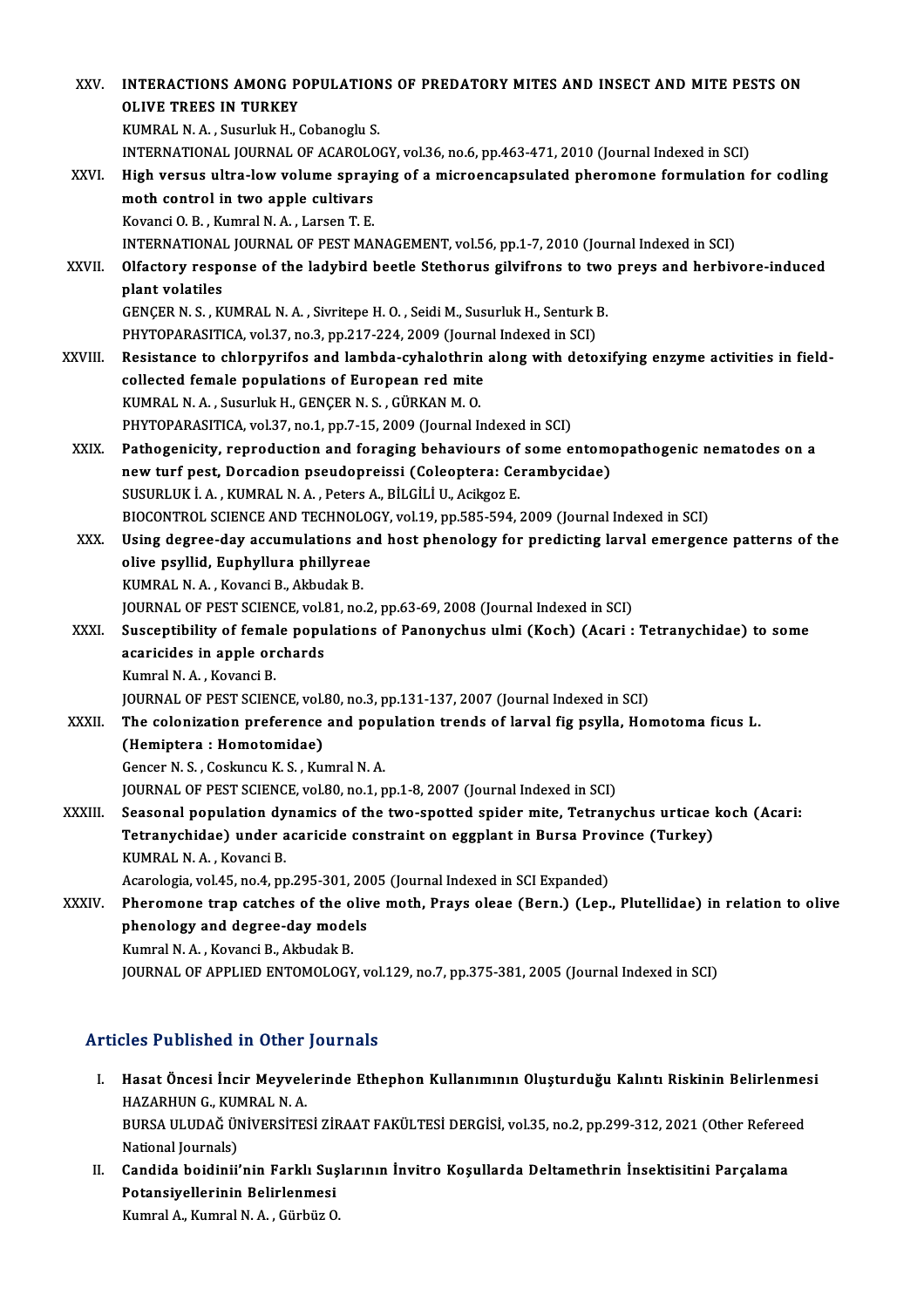| XXV.         | INTERACTIONS AMONG POPULATIONS OF PREDATORY MITES AND INSECT AND MITE PESTS ON                         |
|--------------|--------------------------------------------------------------------------------------------------------|
|              | <b>OLIVE TREES IN TURKEY</b>                                                                           |
|              | KUMRAL N. A., Susurluk H., Cobanoglu S.                                                                |
|              | INTERNATIONAL JOURNAL OF ACAROLOGY, vol.36, no.6, pp.463-471, 2010 (Journal Indexed in SCI)            |
| XXVI.        | High versus ultra-low volume spraying of a microencapsulated pheromone formulation for codling         |
|              | moth control in two apple cultivars                                                                    |
|              | Kovanci O. B., Kumral N. A., Larsen T. E.                                                              |
|              | INTERNATIONAL JOURNAL OF PEST MANAGEMENT, vol.56, pp.1-7, 2010 (Journal Indexed in SCI)                |
| <b>XXVII</b> | Olfactory response of the ladybird beetle Stethorus gilvifrons to two preys and herbivore-induced      |
|              | plant volatiles                                                                                        |
|              | GENÇER N. S., KUMRAL N. A., Sivritepe H. O., Seidi M., Susurluk H., Senturk B.                         |
|              | PHYTOPARASITICA, vol.37, no.3, pp.217-224, 2009 (Journal Indexed in SCI)                               |
| XXVIII.      | Resistance to chlorpyrifos and lambda-cyhalothrin along with detoxifying enzyme activities in field-   |
|              | collected female populations of European red mite                                                      |
|              | KUMRAL N. A., Susurluk H., GENÇER N. S., GÜRKAN M. O.                                                  |
|              | PHYTOPARASITICA, vol.37, no.1, pp.7-15, 2009 (Journal Indexed in SCI)                                  |
| XXIX.        | Pathogenicity, reproduction and foraging behaviours of some entomopathogenic nematodes on a            |
|              | new turf pest, Dorcadion pseudopreissi (Coleoptera: Cerambycidae)                                      |
|              | SUSURLUK İ. A., KUMRAL N. A., Peters A., BİLGİLİ U., Acikgoz E.                                        |
|              | BIOCONTROL SCIENCE AND TECHNOLOGY, vol.19, pp.585-594, 2009 (Journal Indexed in SCI)                   |
| XXX.         | Using degree-day accumulations and host phenology for predicting larval emergence patterns of the      |
|              | olive psyllid, Euphyllura phillyreae                                                                   |
|              | KUMRAL N. A., Kovanci B., Akbudak B.                                                                   |
|              | JOURNAL OF PEST SCIENCE, vol.81, no.2, pp.63-69, 2008 (Journal Indexed in SCI)                         |
| XXXI.        | Susceptibility of female populations of Panonychus ulmi (Koch) (Acari : Tetranychidae) to some         |
|              | acaricides in apple orchards                                                                           |
|              | Kumral N.A., Kovanci B.                                                                                |
|              | JOURNAL OF PEST SCIENCE, vol.80, no.3, pp.131-137, 2007 (Journal Indexed in SCI)                       |
| <b>XXXII</b> | The colonization preference and population trends of larval fig psylla, Homotoma ficus L.              |
|              | (Hemiptera: Homotomidae)                                                                               |
|              | Gencer N. S., Coskuncu K. S., Kumral N. A.                                                             |
|              | JOURNAL OF PEST SCIENCE, vol.80, no.1, pp.1-8, 2007 (Journal Indexed in SCI)                           |
| XXXIII.      | Seasonal population dynamics of the two-spotted spider mite, Tetranychus urticae koch (Acari:          |
|              | Tetranychidae) under acaricide constraint on eggplant in Bursa Province (Turkey)                       |
|              | KUMRAL N. A., Kovanci B.                                                                               |
|              | Acarologia, vol.45, no.4, pp.295-301, 2005 (Journal Indexed in SCI Expanded)                           |
| XXXIV.       | Pheromone trap catches of the olive moth, Prays oleae (Bern.) (Lep., Plutellidae) in relation to olive |
|              | phenology and degree-day models                                                                        |
|              | Kumral N. A., Kovanci B., Akbudak B.                                                                   |
|              | JOURNAL OF APPLIED ENTOMOLOGY, vol.129, no.7, pp.375-381, 2005 (Journal Indexed in SCI)                |
|              |                                                                                                        |

### Articles Published in Other Journals

- rticles Published in Other Journals<br>I. Hasat Öncesi İncir Meyvelerinde Ethephon Kullanımının Oluşturduğu Kalıntı Riskinin Belirlenmesi<br>HAZARHIN G KUMPALN A Hasat Öncesi İncir Meyvele<br>Hasat Öncesi İncir Meyvele<br>HAZARHUN G., KUMRAL N. A. Hasat Öncesi İncir Meyvelerinde Ethephon Kullanımının Oluşturduğu Kalıntı Riskinin Belirlenme:<br>HAZARHUN G., KUMRAL N. A.<br>BURSA ULUDAĞ ÜNİVERSİTESİ ZİRAAT FAKÜLTESİ DERGİSİ, vol.35, no.2, pp.299-312, 2021 (Other Refereed<br>Na HAZARHUN G., KUI<br>BURSA ULUDAĞ ÜI<br>National Journals)<br>Candida bəidinii BURSA ULUDAĞ ÜNIVERSITESI ZIRAAT FAKÜLTESI DERGISI, vol.35, no.2, pp.299-312, 2021 (Other Refered<br>National Journals)<br>II. Candida boidinii'nin Farklı Suşlarının İnvitro Koşullarda Deltamethrin İnsektisitini Parçalama<br>Petere
- National Journals)<br>Candida boidinii'nin Farklı Suş<br>Potansiyellerinin Belirlenmesi<br>Kumral A. Kumral N. A. Gürbüz O Candida boidinii'nin Farklı Suş<br>Potansiyellerinin Belirlenmesi<br>Kumral A., Kumral N. A. , Gürbüz O.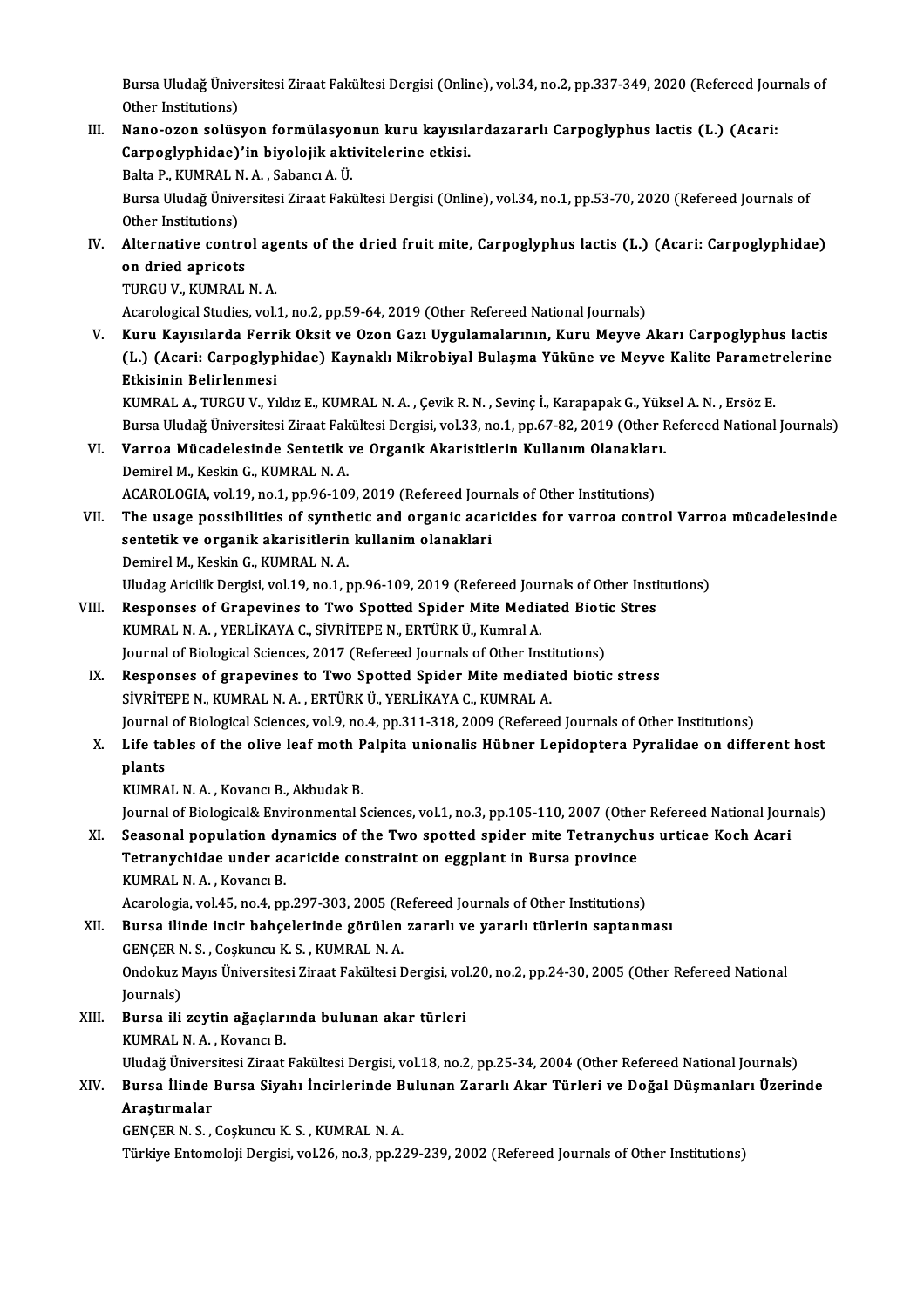Bursa Uludağ Üniversitesi Ziraat Fakültesi Dergisi (Online), vol.34, no.2, pp.337-349, 2020 (Refereed Journals of<br>Other Institutione) Bursa Uludağ Ünive<br>Other Institutions)<br>Nana azan salüs Bursa Uludağ Üniversitesi Ziraat Fakültesi Dergisi (Online), vol.34, no.2, pp.337-349, 2020 (Refereed Journal)<br>Other Institutions)<br>III. Nano-ozon solüsyon formülasyonun kuru kayısılardazararlı Carpoglyphus lactis (L.) (Aca

- Other Institutions)<br>Nano-ozon solüsyon formülasyonun kuru kayısıla<br>Carpoglyphidae)'in biyolojik aktivitelerine etkisi.<br>Belta B. KUMBAL N.A. Sabancı A.Ü Nano-ozon solüsyon formülasyo:<br>Carpoglyphidae)'in biyolojik akti<br>Balta P., KUMRAL N. A. , Sabancı A. Ü.<br>Pursa Uludağ Üniversitesi Zirast Faki Carpoglyphidae)'in biyolojik aktivitelerine etkisi.<br>Balta P., KUMRAL N. A. , Sabancı A. Ü.<br>Bursa Uludağ Üniversitesi Ziraat Fakültesi Dergisi (Online), vol.34, no.1, pp.53-70, 2020 (Refereed Journals of<br>Other Institutions) Balta P., KUMRAL N<br>Bursa Uludağ Ünive<br>Other Institutions)<br>Altarnative contr
- Bursa Uludağ Üniversitesi Ziraat Fakültesi Dergisi (Online), vol.34, no.1, pp.53-70, 2020 (Refereed Journals of<br>Other Institutions)<br>IV. Alternative control agents of the dried fruit mite, Carpoglyphus lactis (L.) (Acari: C Other Institutions)<br>IV. Alternative control agents of the dried fruit mite, Carpoglyphus lactis (L.) (Acari: Carpoglyphidae)<br>on dried apricots

TURGU V., KUMRAL N.A.

Acarological Studies, vol.1, no.2, pp.59-64, 2019 (Other Refereed National Journals)

V. Kuru Kayısılarda Ferrik Oksit ve Ozon Gazı Uygulamalarının, Kuru Meyve Akarı Carpoglyphus lactis Acarological Studies, vol.1, no.2, pp.59-64, 2019 (Other Refereed National Journals)<br>Kuru Kayısılarda Ferrik Oksit ve Ozon Gazı Uygulamalarının, Kuru Meyve Akarı Carpoglyphus lactis<br>(L.) (Acari: Carpoglyphidae) Kaynaklı Mi Kuru Kayısılarda Ferr<br>(L.) (Acari: Carpoglyp<br>Etkisinin Belirlenmesi<br>KUMPAL A TURCU.V. Y. (L.) (Acari: Carpoglyphidae) Kaynaklı Mikrobiyal Bulaşma Yüküne ve Meyve Kalite Parametı<br>Etkisinin Belirlenmesi<br>KUMRAL A., TURGU V., Yıldız E., KUMRAL N.A. , Çevik R. N. , Sevinç İ., Karapapak G., Yüksel A. N. , Ersöz E.<br>B

<mark>Etkisinin Belirlenmesi</mark><br>KUMRAL A., TURGU V., Yıldız E., KUMRAL N. A. , Çevik R. N. , Sevinç İ., Karapapak G., Yüksel A. N. , Ersöz E.<br>Bursa Uludağ Üniversitesi Ziraat Fakültesi Dergisi, vol.33, no.1, pp.67-82, 2019 (Other KUMRAL A., TURGU V., Yıldız E., KUMRAL N. A. , Çevik R. N. , Sevinç İ., Karapapak G., Yük.<br>Bursa Uludağ Üniversitesi Ziraat Fakültesi Dergisi, vol.33, no.1, pp.67-82, 2019 (Other F<br>VI. Varroa Mücadelesinde Sentetik ve

## Bursa Uludağ Üniversitesi Ziraat Fakültesi Dergisi, vol.33, no.1, pp.67-82, 2019 (Other Refereed National Journals)<br>VI. Varroa Mücadelesinde Sentetik ve Organik Akarisitlerin Kullanım Olanakları.<br>Demirel M., Keskin G., Varroa Mücadelesinde Sentetik ve Organik Akarisitlerin Kullanım Olanaklar<br>Demirel M., Keskin G., KUMRAL N. A.<br>ACAROLOGIA, vol.19, no.1, pp.96-109, 2019 (Refereed Journals of Other Institutions)<br>The usage pessibilities of s

Demirel M., Keskin G., KUMRAL N. A.<br>ACAROLOGIA, vol.19, no.1, pp.96-109, 2019 (Refereed Journals of Other Institutions)<br>VII. The usage possibilities of synthetic and organic acaricides for varroa control Varroa mücadelesin ACAROLOGIA, vol.19, no.1, pp.96-109, 2019 (Refereed Jour<br>The usage possibilities of synthetic and organic acar<br>sentetik ve organik akarisitlerin kullanim olanaklari<br>Domirel M. Koskin C. KUMPALN A. The usage possibilities of synthe<br>sentetik ve organik akarisitlerin<br>Demirel M., Keskin G., KUMRAL N. A.<br>Uludas Arisilik Dergisi vol 19 no 1 r sentetik ve organik akarisitlerin kullanim olanaklari<br>Demirel M., Keskin G., KUMRAL N. A.<br>Uludag Aricilik Dergisi, vol.19, no.1, pp.96-109, 2019 (Refereed Journals of Other Institutions)<br>Bespenses of Cranewines to Two Spot

### Demirel M., Keskin G., KUMRAL N. A.<br>Uludag Aricilik Dergisi, vol.19, no.1, pp.96-109, 2019 (Refereed Journals of Other Insti<br>VIII. Responses of Grapevines to Two Spotted Spider Mite Mediated Biotic Stres<br>VIII. Responses of Uludag Aricilik Dergisi, vol.19, no.1, pp.96-109, 2019 (Refereed Journal)<br>Responses of Grapevines to Two Spotted Spider Mite Media<br>KUMRAL N. A. , YERLİKAYA C., SİVRİTEPE N., ERTÜRK Ü., Kumral A.<br>Journal of Biological Scien Responses of Grapevines to Two Spotted Spider Mite Mediated Biotic Stres<br>KUMRAL N. A., YERLİKAYA C., SİVRİTEPE N., ERTÜRK Ü., Kumral A. Journal of Biological Sciences, 2017 (Refereed Journals of Other Institutions)

IX. Responses of grapevines to Two Spotted Spider Mite mediated biotic stress Sivri TEPE N., KUMRAL N. A., ERTÜRK Ü., YERLİKAYA C., KUMRAL A. Responses of grapevines to Two Spotted Spider Mite mediated biotic stress<br>SiVRİTEPE N., KUMRAL N. A. , ERTÜRK Ü., YERLİKAYA C., KUMRAL A.<br>Journal of Biological Sciences, vol.9, no.4, pp.311-318, 2009 (Refereed Journals of SİVRİTEPE N., KUMRAL N. A. , ERTÜRK Ü., YERLİKAYA C., KUMRAL A.<br>Journal of Biological Sciences, vol.9, no.4, pp.311-318, 2009 (Refereed Journals of Other Institutions)<br>X. Life tables of the olive leaf moth Palpita unio

## Journal<br><mark>Life ta</mark><br>plants<br><sup>VIMP 4</sup> Life tables of the olive leaf moth P<br>plants<br>KUMRAL N. A. , Kovancı B., Akbudak B.<br>Journal of Biological& Environmental S plants<br>KUMRAL N. A. , Kovancı B., Akbudak B.<br>Journal of Biological& Environmental Sciences, vol.1, no.3, pp.105-110, 2007 (Other Refereed National Journals)<br>Sessenal population dunamics of the Twe spotted spider mite Tetra

KUMRAL N. A. , Kovancı B., Akbudak B.<br>Journal of Biological& Environmental Sciences, vol.1, no.3, pp.105-110, 2007 (Other Refereed National Journal<br>XI. Seasonal population dynamics of the Two spotted spider mite Tetranychu Journal of Biological& Environmental Sciences, vol.1, no.3, pp.105-110, 2007 (Other<br>Seasonal population dynamics of the Two spotted spider mite Tetranychi<br>Tetranychidae under acaricide constraint on eggplant in Bursa provi Seasonal population dy<br>Tetranychidae under ac<br>KUMRAL N.A., Kovancı B.<br>Acarologia vol.45 no.4 nr Tetranychidae under acaricide constraint on eggplant in Bursa province<br>KUMRAL N. A. , Kovancı B.<br>Acarologia, vol.45, no.4, pp.297-303, 2005 (Refereed Journals of Other Institutions)<br>Bursa ilində insir həhsələrində görülən

- KUMRAL N. A. , Kovancı B.<br>Acarologia, vol.45, no.4, pp.297-303, 2005 (Refereed Journals of Other Institutions)<br>XII. Bursa ilinde incir bahçelerinde görülen zararlı ve yararlı türlerin saptanması<br>CENCER N. S. Cockungu K. S. Acarologia, vol.45, no.4, pp.297-303, 2005 (R<br>Bursa ilinde incir bahçelerinde görülen<br>GENÇER N. S. , Coşkuncu K. S. , KUMRAL N. A.<br>Ondolars Mayıc Üniversitesi Zirast Fakültesi I Ondokuz Mayıs Üniversitesi Ziraat Fakültesi Dergisi, vol.20, no.2, pp.24-30, 2005 (Other Refereed National<br>Journals) GENÇER N. S., Coşkuncu K. S., KUMRAL N. A. Ondokuz Mayıs Üniversitesi Ziraat Fakültesi Dergisi, vol<br>Journals)<br>XIII. Bursa ili zeytin ağaçlarında bulunan akar türleri<br>KUMPALNA Kovang B
- Journals)<br><mark>Bursa ili zeytin ağaçları</mark><br>KUMRAL N. A. , Kovancı B.<br>Uludeğ Üniversitesi Zirest Bursa ili zeytin ağaçlarında bulunan akar türleri<br>KUMRAL N. A. , Kovancı B.<br>Uludağ Üniversitesi Ziraat Fakültesi Dergisi, vol.18, no.2, pp.25-34, 2004 (Other Refereed National Journals)<br>Pursa İlinda Pursa Sivabı İngirlerin

## KUMRAL N. A. , Kovancı B.<br>Uludağ Üniversitesi Ziraat Fakültesi Dergisi, vol.18, no.2, pp.25-34, 2004 (Other Refereed National Journals)<br>Arasturmaları Üzerinde Bursa Siyahı İncirlerinde Bulunan Zararlı Akar Türleri ve Doğal Uludağ Ünivers<br><mark>Bursa İlinde</mark><br>Araştırmalar<br>GENGER N.S Bursa İlinde Bursa Siyahı İncirlerinde B<br>Araştırmalar<br>GENÇER N. S. , Coşkuncu K. S. , KUMRAL N. A.<br>Türkiye Entemeleji Dergisi vel 26 no 2 nn 2. Araştırmalar<br>GENÇER N. S. , Coşkuncu K. S. , KUMRAL N. A.<br>Türkiye Entomoloji Dergisi, vol.26, no.3, pp.229-239, 2002 (Refereed Journals of Other Institutions)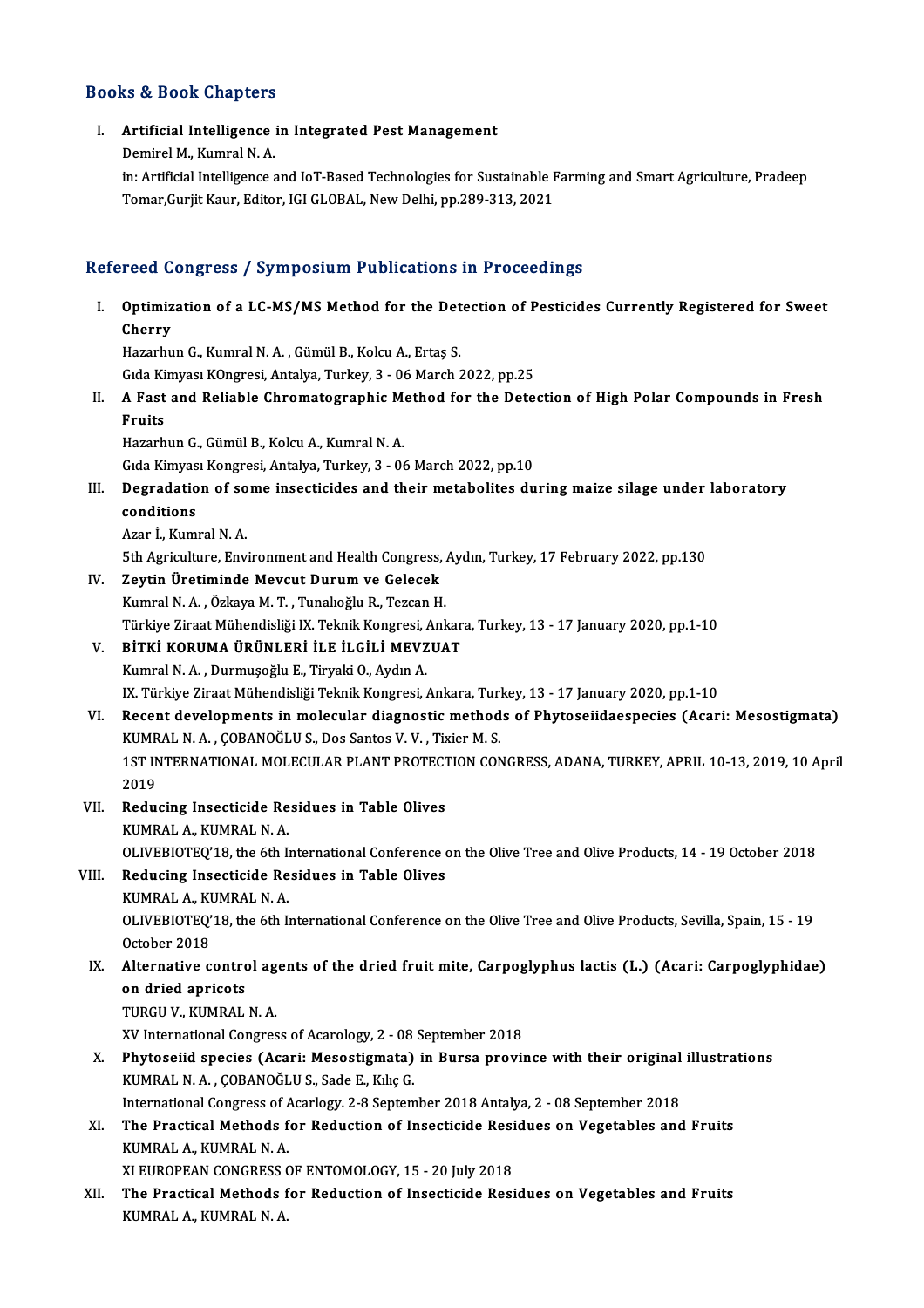### Books&Book Chapters

ooks & Book Chapters<br>I. Artificial Intelligence in Integrated Pest Management<br>Dominel M. Kumral N. A nd a book dimperies<br>Artificial Intelligence<br>Demirel M., Kumral N. A. Artificial Intelligence in Integrated Pest Management<br>Demirel M., Kumral N. A.<br>in: Artificial Intelligence and IoT-Based Technologies for Sustainable Farming and Smart Agriculture, Pradeep<br>Temer Guriit Kaur, Editor, JCLCLO Demirel M., Kumral N. A.<br>in: Artificial Intelligence and IoT-Based Technologies for Sustainable I<br>Tomar,Gurjit Kaur, Editor, IGI GLOBAL, New Delhi, pp.289-313, 2021 Tomar,Gurjit Kaur, Editor, IGI GLOBAL, New Delhi, pp.289-313, 2021<br>Refereed Congress / Symposium Publications in Proceedings efereed Congress / Symposium Publications in Proceedings<br>I. Optimization of a LC-MS/MS Method for the Detection of Pesticides Currently Registered for Sweet<br>Cherry nssa<br>Optimiz<br>Cherry<br><sup>Hozorbu</sup> Optimization of a LC-MS/MS Method for the Det<br>Cherry<br>Hazarhun G., Kumral N.A. , Gümül B., Kolcu A., Ertaş S.<br>Cida Kimyası Kongresi, Antalya Turkay 3, 06 Marsh ( Cherry<br>Hazarhun G., Kumral N. A. , Gümül B., Kolcu A., Ertaş S.<br>Gıda Kimyası KOngresi, Antalya, Turkey, 3 - 06 March 2022, pp.25 Hazarhun G., Kumral N. A. , Gümül B., Kolcu A., Ertaş S.<br>Gıda Kimyası KOngresi, Antalya, Turkey, 3 - 06 March 2022, pp.25<br>II. A Fast and Reliable Chromatographic Method for the Detection of High Polar Compounds in Fres Gida Ki<br><mark>A Fast</mark><br>Fruits A Fast and Reliable Chromatographic Me<br>Fruits<br>Hazarhun G., Gümül B., Kolcu A., Kumral N. A.<br>Cida Kimuası Kongresi, Antalya Turkey, 2., 06 Fruits<br>Hazarhun G., Gümül B., Kolcu A., Kumral N. A.<br>Gıda Kimyası Kongresi, Antalya, Turkey, 3 - 06 March 2022, pp.10<br>Degredation of some insestisides and their metabolites du Hazarhun G., Gümül B., Kolcu A., Kumral N. A.<br>Gıda Kimyası Kongresi, Antalya, Turkey, 3 - 06 March 2022, pp.10<br>III. Degradation of some insecticides and their metabolites during maize silage under laboratory<br>conditions Gida Kimyas<br>Degradatio<br>conditions<br>Agen L. Kum **Degradation of so<br>conditions<br>Azar İ., Kumral N. A.<br>Eth Agriquhung Env** 5th Agriculture, Environmentand Health Congress, Aydın, Turkey, 17 February 2022, pp.130<br>19 Sth Agriculture, Environment and Health Congress, Aydın, Turkey, 17 February 2022, pp.130 IV. Zeytin Üretiminde Mevcut Durum ve Gelecek KumralN.A. ,ÖzkayaM.T. ,TunalıoğluR.,TezcanH. Zeytin Üretiminde Mevcut Durum ve Gelecek<br>Kumral N. A. , Özkaya M. T. , Tunalıoğlu R., Tezcan H.<br>Türkiye Ziraat Mühendisliği IX. Teknik Kongresi, Ankara, Turkey, 13 - 17 January 2020, pp.1-10<br>Pirvi Kopuma üpünu Fpi il F il Kumral N. A. , Özkaya M. T. , Tunalıoğlu R., Tezcan H.<br>Türkiye Ziraat Mühendisliği IX. Teknik Kongresi, Ankar<br>V. BİTKİ KORUMA ÜRÜNLERİ İLE İLGİLİ MEVZUAT Türkiye Ziraat Mühendisliği IX. Teknik Kongresi, *ı*<br>BİTKİ KORUMA ÜRÜNLERİ İLE İLGİLİ MEVZ<br>Kumral N. A. , Durmuşoğlu E., Tiryaki O., Aydın A.<br>IV. Türkiye Ziraat Mühendisliği Teknik Kongresi V. BİTKİ KORUMA ÜRÜNLERİ İLE İLGİLİ MEVZUAT<br>Kumral N. A. , Durmuşoğlu E., Tiryaki O., Aydın A.<br>IX. Türkiye Ziraat Mühendisliği Teknik Kongresi, Ankara, Turkey, 13 - 17 January 2020, pp.1-10 VI. Recent developments in molecular diagnostic methods of Phytoseiidaespecies (Acari: Mesostigmata) IX. Türkiye Ziraat Mühendisliği Teknik Kongresi, Ankara, Turl<br>Recent developments in molecular diagnostic method<br>KUMRAL N. A. , ÇOBANOĞLU S., Dos Santos V. V. , Tixier M. S.<br>1ST INTERNATIONAL MOLECULAR RLANT RROTECTION CON 1ST INTERNATIONAL MOLECULAR PLANT PROTECTION CONGRESS, ADANA, TURKEY, APRIL 10-13, 2019, 10 April<br>2019 KUMR<br>1ST IN<br>2019<br>Badu 1ST INTERNATIONAL MOLECULAR PLANT PROTECT<br>2019<br>VII. Reducing Insecticide Residues in Table Olives<br>VIIADALA VIIADAL N.A. 2019<br>Reducing Insecticide Re<br>KUMRAL A., KUMRAL N. A.<br>OLIVEPIOTEO'19 the 6th li KUMRAL A., KUMRAL N. A.<br>OLIVEBIOTEQ'18, the 6th International Conference on the Olive Tree and Olive Products, 14 - 19 October 2018 KUMRAL A., KUMRAL N. A.<br>OLIVEBIOTEQ'18, the 6th International Conference of<br>VIII. Reducing Insecticide Residues in Table Olives OLIVEBIOTEQ'18, the 6th I<sub>I</sub><br>Reducing Insecticide Re<br>KUMRAL A., KUMRAL N. A.<br>OLIVEPIOTEO'19, the 6th I<sub>I</sub> Reducing Insecticide Residues in Table Olives<br>KUMRAL A., KUMRAL N. A.<br>OLIVEBIOTEQ'18, the 6th International Conference on the Olive Tree and Olive Products, Sevilla, Spain, 15 - 19 KUMRAL A., KU<br>OLIVEBIOTEQ'<br>October 2018 OLIVEBIOTEQ'18, the 6th International Conference on the Olive Tree and Olive Products, Sevilla, Spain, 15 - 19<br>October 2018<br>IX. Alternative control agents of the dried fruit mite, Carpoglyphus lactis (L.) (Acari: Carpoglyp October 2018<br>Alternative contro<br>on dried apricots<br>TUBCU V. KUMBAL on dried apricots<br>TURGU V., KUMRAL N. A. on dried apricots<br>TURGU V., KUMRAL N. A.<br>XV International Congress of Acarology, 2 - 08 September 2018<br>Phytosoiid spesies (Asari: Mesostismata) in Bursa provi: TURGU V., KUMRAL N. A.<br>XV International Congress of Acarology, 2 - 08 September 2018<br>X. Phytoseiid species (Acari: Mesostigmata) in Bursa province with their original illustrations<br>X. Phytoseiid species (Acari: Mesostigmat XV International Congress of Acarology, 2 - 08<br>Phytoseiid species (Acari: Mesostigmata)<br>KUMRAL N. A. , ÇOBANOĞLU S., Sade E., Kılıç G.<br>International Congress of Acarlegy, 2.9 Sentem Phytoseiid species (Acari: Mesostigmata) in Bursa province with their original<br>KUMRAL N. A. , ÇOBANOĞLU S., Sade E., Kılıç G.<br>International Congress of Acarlogy. 2-8 September 2018 Antalya, 2 - 08 September 2018<br>The Presti KUMRAL N. A. , ÇOBANOĞLU S., Sade E., Kılıç G.<br>International Congress of Acarlogy. 2-8 September 2018 Antalya, 2 - 08 September 2018<br>XI. The Practical Methods for Reduction of Insecticide Residues on Vegetables and Fruits<br> International Congress of Acarlogy. 2-8 September 2018 Antalya, 2 - 08 September 2018<br>The Practical Methods for Reduction of Insecticide Residues on Vegetables and<br>KUMRAL A., KUMRAL N. A. The Practical Methods for Reduction of Insecticide Resi<br>KUMRAL A., KUMRAL N. A.<br>XI EUROPEAN CONGRESS OF ENTOMOLOGY, 15 - 20 July 2018<br>The Prestical Methods for Pedustion of Insecticide Pesi XII. The Practical Methods for Reduction of Insecticide Residues on Vegetables and Fruits<br>KUMRAL A., KUMRAL N. A. XI EUROPEAN CONGRESS OF ENTOMOLOGY, 15 - 20 July 2018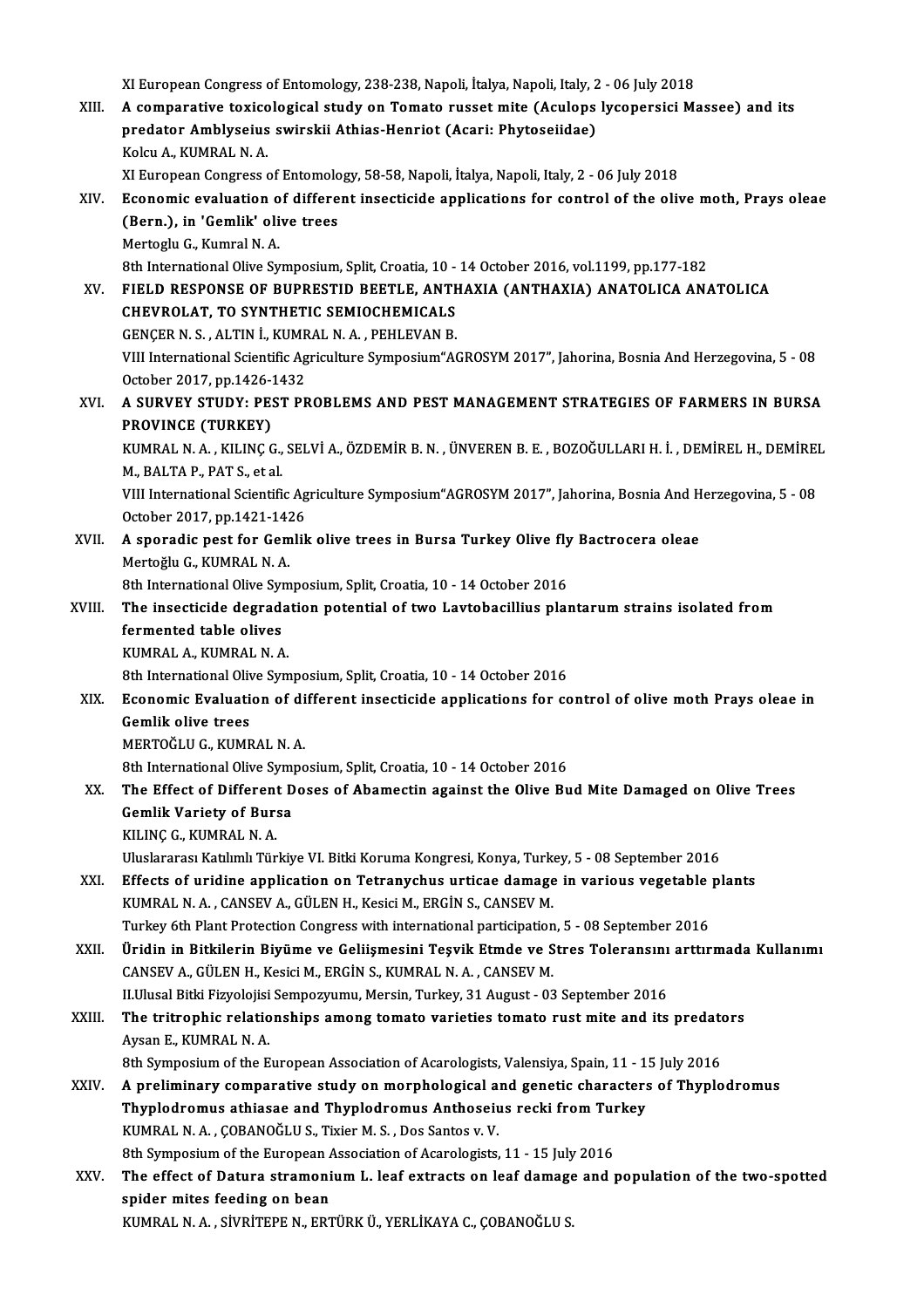- XI European Congress of Entomology, 238-238, Napoli, İtalya, Napoli, Italy, 2 06 July 2018<br>A semnarative texiselesisel study en Temate russet mite (Asulens lusenersisi M XI European Congress of Entomology, 238-238, Napoli, İtalya, Napoli, Italy, 2 - 06 July 2018<br>XIII. A comparative toxicological study on Tomato russet mite (Aculops lycopersici Massee) and its<br>Represent Amblycoive swinghii XI European Congress of Entomology, 238-238, Napoli, İtalya, Napoli, Italy, 2<br>A comparative toxicological study on Tomato russet mite (Aculops<br>predator Amblyseius swirskii Athias-Henriot (Acari: Phytoseiidae)<br>Kaku A. KUMPA A comparative toxico<br>predator Amblyseius<br>Kolcu A., KUMRAL N. A.<br>YI Europeen Congrees 4 predator Amblyseius swirskii Athias-Henriot (Acari: Phytoseiidae)<br>Kolcu A., KUMRAL N. A.<br>XI European Congress of Entomology, 58-58, Napoli, İtalya, Napoli, Italy, 2 - 06 July 2018<br>Economic evoluation of different incestici Kolcu A., KUMRAL N. A.<br>XI European Congress of Entomology, 58-58, Napoli, İtalya, Napoli, Italy, 2 - 06 July 2018<br>XIV. Economic evaluation of different insecticide applications for control of the olive moth, Prays olea XI European Congress of Entomolo<br>Economic evaluation of differe<br>(Bern.), in 'Gemlik' olive trees<br>Mortogly C. Kumral N.A. Economic evaluation o<br>(Bern.), in 'Gemlik' oli<br>Mertoglu G., Kumral N. A.<br><sup>Oth International Olive Sv</sub></sup> (Bern.), in 'Gemlik' olive trees<br>Mertoglu G., Kumral N. A.<br>8th International Olive Symposium, Split, Croatia, 10 - 14 October 2016, vol.1199, pp.177-182<br>FIELD RESPONSE OF RURRETID REFTLE, ANTHAYIA (ANTHAYIA) ANATOLICA AN Mertoglu G., Kumral N. A.<br>8th International Olive Symposium, Split, Croatia, 10 - 14 October 2016, vol.1199, pp.177-182<br>XV. FIELD RESPONSE OF BUPRESTID BEETLE, ANTHAXIA (ANTHAXIA) ANATOLICA ANATOLICA<br>CHEVPOLAT TO SYNTH 8th International Olive Symposium, Split, Croatia, 10 -<br>FIELD RESPONSE OF BUPRESTID BEETLE, ANTI-<br>CHEVROLAT, TO SYNTHETIC SEMIOCHEMICALS FIELD RESPONSE OF BUPRESTID BEETLE, ANT<br>CHEVROLAT, TO SYNTHETIC SEMIOCHEMICALS<br>GENÇER N. S. , ALTIN İ., KUMRAL N. A. , PEHLEVAN B.<br>VIII International Scientific Acriculture Symnosium"A CHEVROLAT, TO SYNTHETIC SEMIOCHEMICALS<br>GENÇER N. S. , ALTIN İ., KUMRAL N. A. , PEHLEVAN B.<br>VIII International Scientific Agriculture Symposium"AGROSYM 2017", Jahorina, Bosnia And Herzegovina, 5 - 08 GENÇER N. S. , ALTIN İ., KUMR<br>VIII International Scientific Ag<br>October 2017, pp.1426-1432<br>A SUBVEY STUDY. BEST BR VIII International Scientific Agriculture Symposium"AGROSYM 2017", Jahorina, Bosnia And Herzegovina, 5 - 08<br>October 2017, pp.1426-1432<br>XVI. A SURVEY STUDY: PEST PROBLEMS AND PEST MANAGEMENT STRATEGIES OF FARMERS IN BURSA
- October 2017, pp.1426-2<br>A SURVEY STUDY: PE:<br>PROVINCE (TURKEY)<br>KUMPAL N.A., KUJNC A SURVEY STUDY: PEST PROBLEMS AND PEST MANAGEMENT STRATEGIES OF FARMERS IN BURSA<br>PROVINCE (TURKEY)<br>KUMRAL N. A. , KILINÇ G., SELVİ A., ÖZDEMİR B. N. , ÜNVEREN B. E. , BOZOĞULLARI H. İ. , DEMİREL H., DEMİREL<br>M. PALTA P. PAT PROVINCE (TURKEY)<br>KUMRAL N. A. , KILINÇ G., SELVİ A., ÖZDEMİR B. N. , ÜNVEREN B. E. , BOZOĞULLARI H. İ. , DEMİREL H., DEMİREL<br>M., BALTA P., PAT S., et al KUMRAL N. A. , KILINÇ G., SELVİ A., ÖZDEMİR B. N. , ÜNVEREN B. E. , BOZOĞULLARI H. İ. , DEMİREL H., DEMİREI<br>M., BALTA P., PAT S., et al.<br>VIII International Scientific Agriculture Symposium"AGROSYM 2017", Jahorina, Bosnia A M., BALTA P., PAT S., et al.<br>VIII International Scientific Ag<br>October 2017, pp.1421-1426<br>A speradie pest for Cemlik
- VIII International Scientific Agriculture Symposium"AGROSYM 2017", Jahorina, Bosnia And H<br>October 2017, pp.1421-1426<br>XVII. A sporadic pest for Gemlik olive trees in Bursa Turkey Olive fly Bactrocera oleae<br>Mortočly G. KUMPA October 2017, pp.1421-1426<br>XVII. A sporadic pest for Gemlik olive trees in Bursa Turkey Olive fly Bactrocera oleae<br>Mertoğlu G., KUMRALN.A. A sporadic pest for Gemlik olive trees in Bursa Turkey Olive fly<br>Mertoğlu G., KUMRAL N. A.<br>8th International Olive Symposium, Split, Croatia, 10 - 14 October 2016<br>The insectiside degradation petential of two Lawtebesillius

Mertoğlu G., KUMRAL N. A.<br>8th International Olive Symposium, Split, Croatia, 10 - 14 October 2016<br>XVIII. The insecticide degradation potential of two Lavtobacillius plantarum strains isolated from<br>formanted table olives 8th International Olive Syr<br>The insecticide degrad:<br>fermented table olives<br>FUMPAL A FUMPALN A The insecticide degrada<br>fermented table olives<br>KUMRAL A., KUMRAL N. A.<br><sup>9th International Olive Sum</sub></sup> fermented table olives<br>KUMRAL A., KUMRAL N. A.<br>8th International Olive Symposium, Split, Croatia, 10 - 14 October 2016<br>Feonomic Evoluction of different incostiside ennlisations for se

KUMRAL A., KUMRAL N. A.<br>8th International Olive Symposium, Split, Croatia, 10 - 14 October 2016<br>XIX. Economic Evaluation of different insecticide applications for control of olive moth Prays oleae in<br>Comlik olive trees **8th International Oliv<br>Economic Evaluati<br>Gemlik olive trees<br>MERTOČLU C KUME** Economic Evaluation of di<br>Gemlik olive trees<br>MERTOĞLU G., KUMRAL N. A.<br><sup>9th International Olive Sumne</sup> 6emlik olive trees<br>MERTOĞLU G., KUMRAL N. A.<br>8th International Olive Symposium, Split, Croatia, 10 - 14 October 2016

- MERTOĞLU G., KUMRAL N. A.<br>8th International Olive Symposium, Split, Croatia, 10 14 October 2016<br>XX. The Effect of Different Doses of Abamectin against the Olive Bud Mite Damaged on Olive Trees<br>Camlik Variety of Bunes 8th International Olive Sympy<br>The Effect of Different D<br>Gemlik Variety of Bursa<br>KU INGG KUMBAL NA The Effect of Different<br>Gemlik Variety of Bur:<br>KILINÇ G., KUMRAL N. A.<br>Hluelarares: Katlimh Tör Gemlik Variety of Bursa<br>KILINÇ G., KUMRAL N. A.<br>Uluslararası Katılımlı Türkiye VI. Bitki Koruma Kongresi, Konya, Turkey, 5 - 08 September 2016<br>Effects of unidine annligation en Tetrenychus untisse damage in venious vesstab
	-

- KILINÇ G., KUMRAL N. A.<br>Uluslararası Katılımlı Türkiye VI. Bitki Koruma Kongresi, Konya, Turkey, 5 08 September 2016<br>XXI. Effects of uridine application on Tetranychus urticae damage in various vegetable plants Uluslararası Katılımlı Türkiye VI. Bitki Koruma Kongresi, Konya, Turk<br>Effects of uridine application on Tetranychus urticae damage<br>KUMRAL N. A. , CANSEV A., GÜLEN H., Kesici M., ERGİN S., CANSEV M.<br>Turkey éth Plant Protect Effects of uridine application on Tetranychus urticae damage in various vegetable<br>KUMRAL N. A. , CANSEV A., GÜLEN H., Kesici M., ERGİN S., CANSEV M.<br>Turkey 6th Plant Protection Congress with international participation, 5
- KUMRAL N. A. , CANSEV A., GÜLEN H., Kesici M., ERGİN S., CANSEV M.<br>Turkey 6th Plant Protection Congress with international participation, 5 08 September 2016<br>XXII. Üridin in Bitkilerin Biyüme ve Geliişmesini Teşvik E Turkey 6th Plant Protection Congress with international participation<br>Üridin in Bitkilerin Biyüme ve Geliişmesini Teşvik Etmde ve S<br>CANSEV A., GÜLEN H., Kesici M., ERGİN S., KUMRAL N.A., CANSEV M.<br>H.Husal Bitki Firvolojisi Üridin in Bitkilerin Biyüme ve Geliişmesini Teşvik Etmde ve Stres Toleransını<br>CANSEV A., GÜLEN H., Kesici M., ERGİN S., KUMRAL N. A. , CANSEV M.<br>II.Ulusal Bitki Fizyolojisi Sempozyumu, Mersin, Turkey, 31 August - 03 Septem

CANSEV A., GÜLEN H., Kesici M., ERGİN S., KUMRAL N. A. , CANSEV M.<br>II.Ulusal Bitki Fizyolojisi Sempozyumu, Mersin, Turkey, 31 August - 03 September 2016<br>XXIII. The tritrophic relationships among tomato varieties tomato rus II.Ulusal Bitki Fizyolojisi<br>The tritrophic relatio<br>Aysan E., KUMRAL N. A.<br><sup>9th Sumnosium of the E</sub></sup> The tritrophic relationships among tomato varieties tomato rust mite and its predate<br>Aysan E., KUMRAL N. A.<br>8th Symposium of the European Association of Acarologists, Valensiya, Spain, 11 - 15 July 2016<br>A nraliminary compo

- Aysan E., KUMRAL N. A.<br>8th Symposium of the European Association of Acarologists, Valensiya, Spain, 11 15 July 2016<br>XXIV. A preliminary comparative study on morphological and genetic characters of Thyplodromus<br>Thyplodrom 8th Symposium of the European Association of Acarologists, Valensiya, Spain, 11 - 1<br>A preliminary comparative study on morphological and genetic characters<br>Thyplodromus athiasae and Thyplodromus Anthoseius recki from Turke KUMRAL N.A., ÇOBANOĞLU S., Tixier M.S., Dos Santos v.V. Thyplodromus athiasae and Thyplodromus Anthoseius recki from Turkey KUMRAL N. A. , ÇOBANOĞLU S., Tixier M. S. , Dos Santos v. V.<br>8th Symposium of the European Association of Acarologists, 11 - 15 July 2016<br>XXV. The effect of Datura stramonium L. leaf extracts on leaf damage and population
- 8th Symposium of the European Association of Acarologists, 11 15 July 2016<br>The effect of Datura stramonium L. leaf extracts on leaf damage and<br>spider mites feeding on bean<br>KUMRAL N. A., SİVRİTEPE N., ERTÜRK Ü., YERLİKAYA The effect of Datura stramonium L. leaf extracts on leaf damage<br>spider mites feeding on bean<br>KUMRAL N. A. , SİVRİTEPE N., ERTÜRK Ü., YERLİKAYA C., ÇOBANOĞLU S.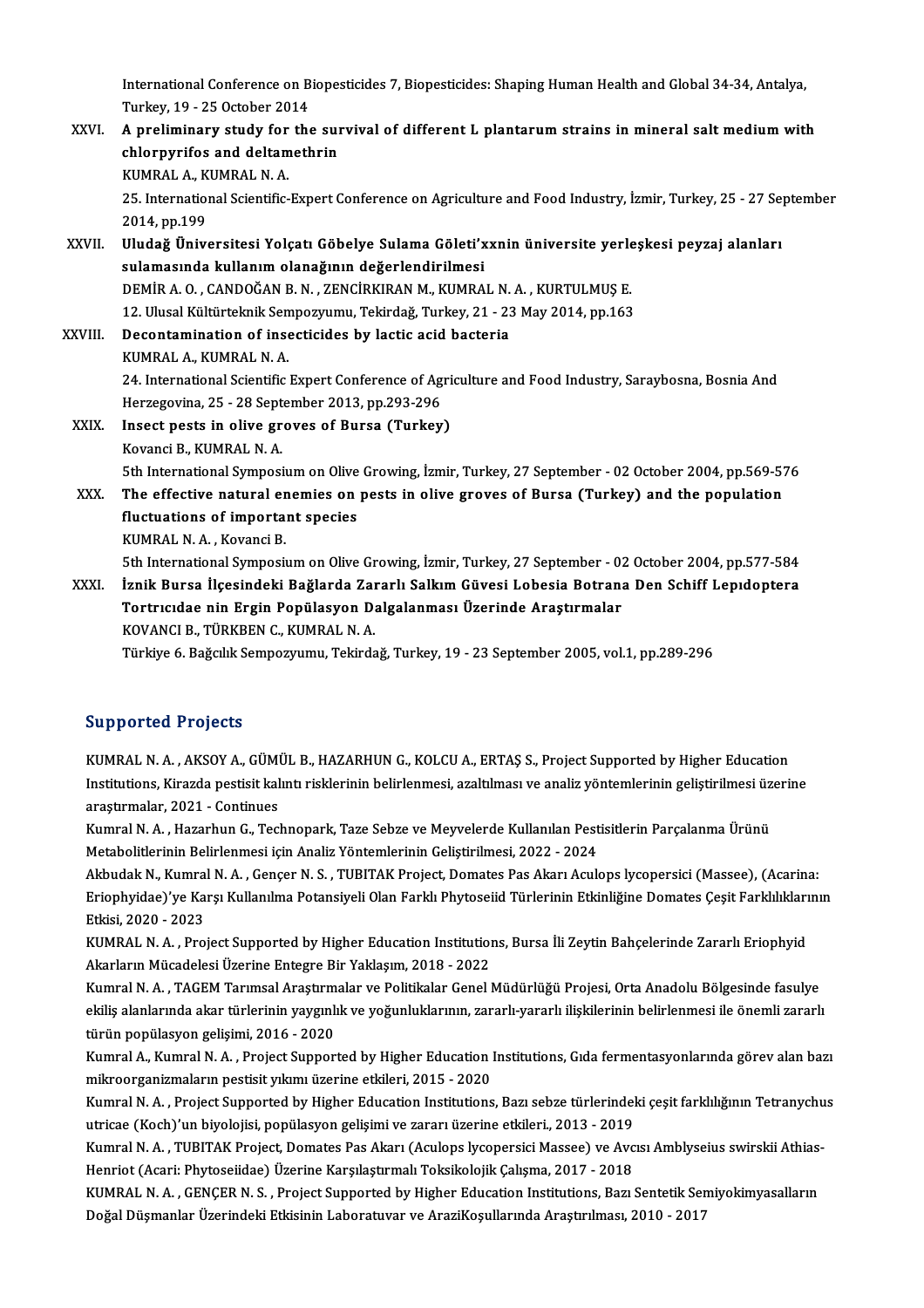International Conference on Biopesticides 7, Biopesticides: Shaping Human Health and Global 34-34, Antalya,<br>Turkay, 19,, 25 October 2014 International Conference on B<br>Turkey, 19 - 25 October 2014<br>A proliminary study for the International Conference on Biopesticides 7, Biopesticides: Shaping Human Health and Global 34-34, Antalya,<br>Turkey, 19 - 25 October 2014<br>XXVI. A preliminary study for the survival of different L plantarum strains in minera

Turkey, 19 - 25 October 2014<br>A preliminary study for the sure<br>chlorpyrifos and deltamethrin<br>KUMPAL A KUMPAL N A A preliminary study for<br>chlorpyrifos and deltam<br>KUMRAL A., KUMRAL N. A.<br>25 International Scientific chlorpyrifos and deltamethrin<br>KUMRAL A., KUMRAL N. A.<br>25. International Scientific-Expert Conference on Agriculture and Food Industry, İzmir, Turkey, 25 - 27 September<br>2014. pp.199 KUMRAL A., K<br>25. Internation<br>2014, pp.199<br>Uludo**č Üniv** 25. International Scientific-Expert Conference on Agriculture and Food Industry, İzmir, Turkey, 25 - 27 Se<br>2014, pp.199<br>XXVII. Uludağ Üniversitesi Yolçatı Göbelye Sulama Göleti'xxnin üniversite yerleşkesi peyzaj alanları<br>s

2014, pp.199<br>Uludağ Üniversitesi Yolçatı Göbelye Sulama Göleti'x<br>sulamasında kullanım olanağının değerlendirilmesi<br>DEMİR A.O. CANDOČAN B.N. ZENCİPKIRAN M. KUMRA Uludağ Üniversitesi Yolçatı Göbelye Sulama Göleti'xxnin üniversite yerle<br>sulamasında kullanım olanağının değerlendirilmesi<br>DEMİR A. O. , CANDOĞAN B. N. , ZENCİRKIRAN M., KUMRAL N. A. , KURTULMUŞ E.<br>12 Hlucel Kültürtelmik S sulamasında kullanım olanağının değerlendirilmesi<br>DEMİR A. O., CANDOĞAN B. N., ZENCİRKIRAN M., KUMRAL N. A., KURTULMUŞ E. 12. Ulusal Kültürteknik Sempozyumu, Tekirdağ, Turkey, 21 - 23 May 2014, pp 163

XXVIII. Decontamination of insecticides by lactic acid bacteria<br>KUMRAL A., KUMRAL N. A. Decontamination of insecticides by lactic acid bacteria<br>KUMRAL A., KUMRAL N. A.<br>24. International Scientific Expert Conference of Agriculture and Food Industry, Saraybosna, Bosnia And<br>Herregovine, 25., 28 September 2013, p KUMRAL A., KUMRAL N. A.<br>24. International Scientific Expert Conference of Ag<br>Herzegovina, 25 - 28 September 2013, pp.293-296<br>Insect pests in olive grouse of Burse (Turkey 24. International Scientific Expert Conference of Agri<br>Herzegovina, 25 - 28 September 2013, pp.293-296<br>XXIX. Insect pests in olive groves of Bursa (Turkey)

Herzegovina, 25 - 28 September 2013, pp.293-296<br>Insect pests in olive groves of Bursa (Turkey)<br>Kovanci B., KUMRAL N. A. 5th International Symposium on Olive Growing, İzmir, Turkey, 27 September - 02 October 2004, pp.569-576 Kovanci B., KUMRAL N. A.<br>5th International Symposium on Olive Growing, İzmir, Turkey, 27 September - 02 October 2004, pp.569-57<br>XXX. The effective natural enemies on pests in olive groves of Bursa (Turkey) and the populati

5th International Symposium on Olive<br>The effective natural enemies on<br>fluctuations of important species<br>KUMPAL N.A., Kovangi B The effective natural er<br>fluctuations of importa<br>KUMRAL N. A. , Kovanci B.<br>5th International Symposi fluctuations of important species<br>KUMRAL N. A. , Kovanci B.<br>5th International Symposium on Olive Growing, İzmir, Turkey, 27 September - 02 October 2004, pp.577-584

KUMRAL N. A. , Kovanci B.<br>5th International Symposium on Olive Growing, İzmir, Turkey, 27 September - 02 October 2004, pp.577-584<br>XXXI. İznik Bursa İlçesindeki Bağlarda Zararlı Salkım Güvesi Lobesia Botrana Den Schiff Lepı 5th International Symposium on Olive Growing, İzmir, Turkey, 27 September - 02<br>İznik Bursa İlçesindeki Bağlarda Zararlı Salkım Güvesi Lobesia Botran;<br>Tortrıcıdae nin Ergin Popülasyon Dalgalanması Üzerinde Araştırmalar<br>KOVA İznik Bursa İlçesindeki Bağlarda Zar<br>Tortrıcıdae nin Ergin Popülasyon D:<br>KOVANCI B., TÜRKBEN C., KUMRAL N. A.<br>Türkiye 6 Bağalık Samnazınımı, Tekirda Tortrıcıdae nin Ergin Popülasyon Dalgalanması Üzerinde Araştırmalar<br>KOVANCI B., TÜRKBEN C., KUMRAL N. A.<br>Türkiye 6. Bağcılık Sempozyumu, Tekirdağ, Turkey, 19 - 23 September 2005, vol.1, pp.289-296

### Supported Projects

Supported Projects<br>KUMRAL N. A. , AKSOY A., GÜMÜL B., HAZARHUN G., KOLCU A., ERTAŞ S., Project Supported by Higher Education<br>Institutions, Kinarda postisit kalıntı ricklerinin belirlenmesi, sraktılması ve analis vöntemleri Bupporticu in ojcelli<br>KUMRAL N. A. , AKSOY A., GÜMÜL B., HAZARHUN G., KOLCU A., ERTAŞ S., Project Supported by Higher Education<br>Anathymalar, 2021 - Continues KUMRAL N. A. , AKSOY A., GÜMI<br>Institutions, Kirazda pestisit kal<br>araştırmalar, 2021 - Continues<br>Kumral N. A. Hazarbun G. Tosl Institutions, Kirazda pestisit kalıntı risklerinin belirlenmesi, azaltılması ve analiz yöntemlerinin geliştirilmesi üz<br>araştırmalar, 2021 - Continues<br>Kumral N. A. , Hazarhun G., Technopark, Taze Sebze ve Meyvelerde Kullanı

araştırmalar, 2021 - Continues<br>Kumral N. A. , Hazarhun G., Technopark, Taze Sebze ve Meyvelerde Kullanılan Pestisitlerin Parçalanma Ürünü<br>Metabolitlerinin Belirlenmesi için Analiz Yöntemlerinin Geliştirilmesi, 2022 - 2024 Kumral N. A. , Hazarhun G., Technopark, Taze Sebze ve Meyvelerde Kullanılan Pestisitlerin Parçalanma Ürünü<br>Metabolitlerinin Belirlenmesi için Analiz Yöntemlerinin Geliştirilmesi, 2022 - 2024<br>Akbudak N., Kumral N. A. , Genç

Metabolitlerinin Belirlenmesi için Analiz Yöntemlerinin Geliştirilmesi, 2022 - 2024<br>Akbudak N., Kumral N. A. , Gençer N. S. , TUBITAK Project, Domates Pas Akarı Aculops lycopersici (Massee), (Acarina:<br>Eriophyidae)'ye Karşı Akbudak N., Kumra<br>Eriophyidae)'ye Ka<br>Etkisi, 2020 - 2023<br>KUMPAL N. A., Pro Eriophyidae)'ye Karşı Kullanılma Potansiyeli Olan Farklı Phytoseiid Türlerinin Etkinliğine Domates Çeşit Farklılıkları<br>Etkisi, 2020 - 2023<br>KUMRAL N. A. , Project Supported by Higher Education Institutions, Bursa İli Zeytin

Etkisi, 2020 - 2023<br>KUMRAL N. A. , Project Supported by Higher Education Institution<br>Akarların Mücadelesi Üzerine Entegre Bir Yaklaşım, 2018 - 2022<br>Kumral N. A., TACEM Tarımsal Arastırmalar ve Bolitikalar Canal I KUMRAL N. A. , Project Supported by Higher Education Institutions, Bursa İli Zeytin Bahçelerinde Zararlı Eriophyid<br>Akarların Mücadelesi Üzerine Entegre Bir Yaklaşım, 2018 - 2022<br>Kumral N. A. , TAGEM Tarımsal Araştırmalar v

Akarların Mücadelesi Üzerine Entegre Bir Yaklaşım, 2018 - 2022<br>Kumral N. A. , TAGEM Tarımsal Araştırmalar ve Politikalar Genel Müdürlüğü Projesi, Orta Anadolu Bölgesinde fasulye<br>ekiliş alanlarında akar türlerinin yaygınlık Kumral N. A., TAGEM Tarımsal Araştırmalar ve Politikalar Genel Müdürlüğü Projesi, Orta Anadolu Bölgesinde fasulye ekiliş alanlarında akar türlerinin yaygınlık ve yoğunluklarının, zararlı-yararlı ilişkilerinin belirlenmesi ile önemli zararlı<br>türün popülasyon gelişimi, 2016 - 2020<br>Kumral A., Kumral N. A. , Project Supported by Higher Ed

türün popülasyon gelişimi, 2016 - 2020<br>Kumral A., Kumral N. A. , Project Supported by Higher Education I<br>mikroorganizmaların pestisit yıkımı üzerine etkileri, 2015 - 2020<br>Kumral N. A., Project Supported by Higher Education Kumral A., Kumral N. A. , Project Supported by Higher Education Institutions, Gıda fermentasyonlarında görev alan bazı<br>mikroorganizmaların pestisit yıkımı üzerine etkileri, 2015 - 2020<br>Kumral N. A. , Project Supported by H

mikroorganizmaların pestisit yıkımı üzerine etkileri, 2015 - 2020<br>Kumral N. A. , Project Supported by Higher Education Institutions, Bazı sebze türlerindel<br>utricae (Koch)'un biyolojisi, popülasyon gelişimi ve zararı üzerin Kumral N. A. , Project Supported by Higher Education Institutions, Bazı sebze türlerindeki çeşit farklılığının Tetranychu<br>utricae (Koch)'un biyolojisi, popülasyon gelişimi ve zararı üzerine etkileri., 2013 - 2019<br>Kumral N.

utricae (Koch)'un biyolojisi, popülasyon gelişimi ve zararı üzerine etkileri., 2013 - 2019<br>Kumral N. A. , TUBITAK Project, Domates Pas Akarı (Aculops lycopersici Massee) ve Avc<br>Henriot (Acari: Phytoseiidae) Üzerine Karşıla Kumral N. A. , TUBITAK Project, Domates Pas Akarı (Aculops lycopersici Massee) ve Avcısı Amblyseius swirskii Athias<br>Henriot (Acari: Phytoseiidae) Üzerine Karşılaştırmalı Toksikolojik Çalışma, 2017 - 2018<br>KUMRAL N. A. , GEN

Henriot (Acari: Phytoseiidae) Üzerine Karşılaştırmalı Toksikolojik Çalışma, 2017 - 2018<br>KUMRAL N. A. , GENÇER N. S. , Project Supported by Higher Education Institutions, Bazı Sentetik Semiyokimyasalların<br>Doğal Düşmanlar Üz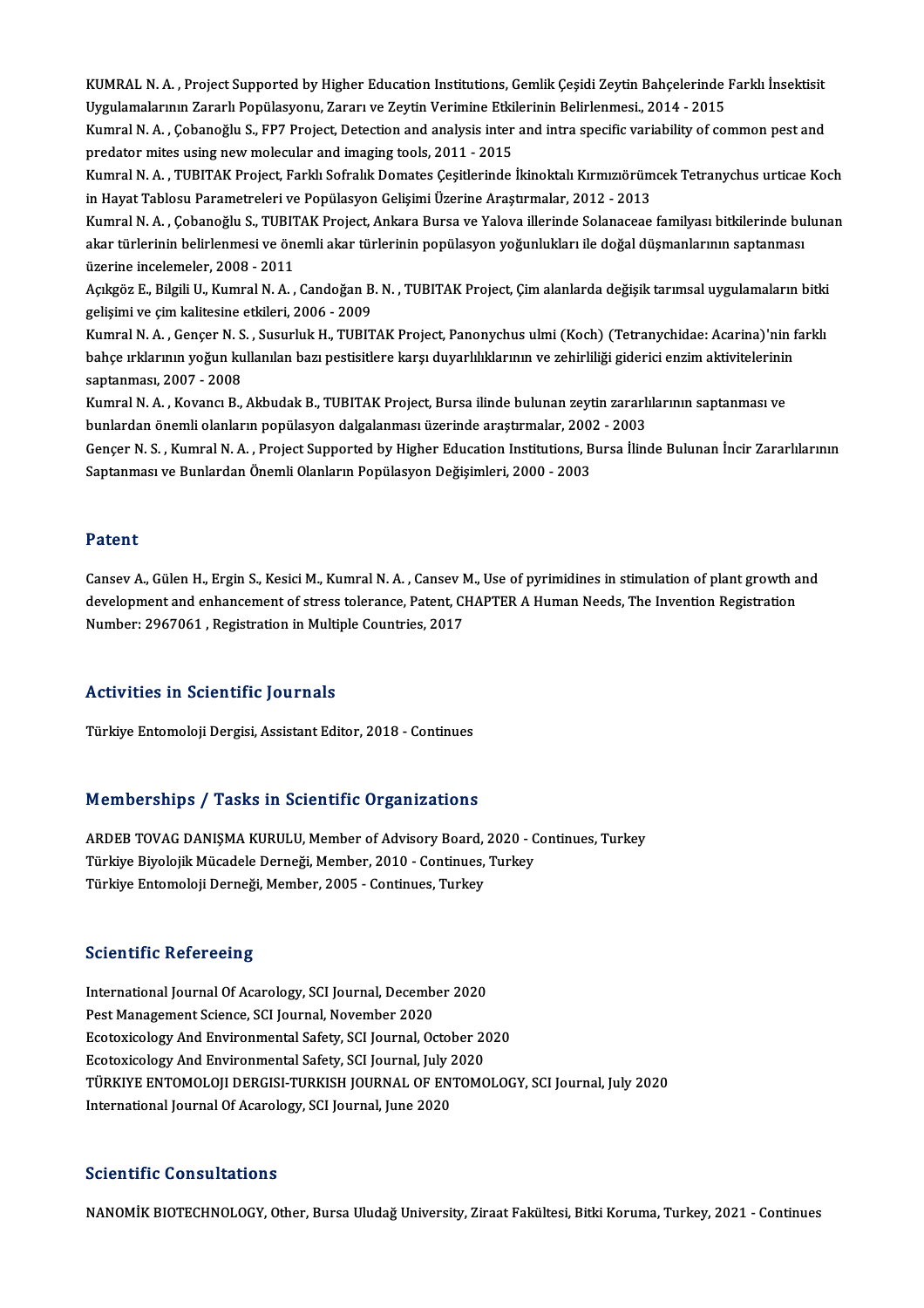KUMRAL N. A. , Project Supported by Higher Education Institutions, Gemlik Çeşidi Zeytin Bahçelerinde Farklı İnsektisit<br>Urgulamelerinin Zararlı Penülesyeniy Zararı ve Zaytin Verimine Etkilerinin Belirlenmesi, 2014, 2015 KUMRAL N. A. , Project Supported by Higher Education Institutions, Gemlik Çeşidi Zeytin Bahçelerinde<br>Uygulamalarının Zararlı Popülasyonu, Zararı ve Zeytin Verimine Etkilerinin Belirlenmesi., 2014 - 2015<br>Kumral N. A., Ceban KUMRAL N. A. , Project Supported by Higher Education Institutions, Gemlik Çeşidi Zeytin Bahçelerinde Farklı İnsektisit<br>Uygulamalarının Zararlı Popülasyonu, Zararı ve Zeytin Verimine Etkilerinin Belirlenmesi., 2014 - 2015<br>K

Uygulamalarının Zararlı Popülasyonu, Zararı ve Zeytin Verimine Etkilerinin Belirlenmesi., 2014 - 2015<br>Kumral N. A. , Çobanoğlu S., FP7 Project, Detection and analysis inter and intra specific variability of common pest and Kumral N. A. , Çobanoğlu S., FP7 Project, Detection and analysis inter and intra specific variability of common pest and<br>predator mites using new molecular and imaging tools, 2011 - 2015<br>Kumral N. A. , TUBITAK Project, Far

predator mites using new molecular and imaging tools, 2011 - 2015<br>Kumral N. A. , TUBITAK Project, Farklı Sofralık Domates Çeşitlerinde İkinoktalı Kırmızıörüm<br>in Hayat Tablosu Parametreleri ve Popülasyon Gelişimi Üzerine Ar Kumral N. A. , TUBITAK Project, Farklı Sofralık Domates Çeşitlerinde İkinoktalı Kırmızıörümcek Tetranychus urticae Koch<br>in Hayat Tablosu Parametreleri ve Popülasyon Gelişimi Üzerine Araştırmalar, 2012 - 2013<br>Kumral N. A. ,

in Hayat Tablosu Parametreleri ve Popülasyon Gelişimi Üzerine Araştırmalar, 2012 - 2013<br>Kumral N. A. , Çobanoğlu S., TUBITAK Project, Ankara Bursa ve Yalova illerinde Solanaceae familyası bitkilerinde bu<br>akar türlerinin be Kumral N. A. , Çobanoğlu S., TUBIT<br>akar türlerinin belirlenmesi ve ön<br>üzerine incelemeler, 2008 - 2011<br>Asıkgöz E. Bilgili II. Kumral N. A akar türlerinin belirlenmesi ve önemli akar türlerinin popülasyon yoğunlukları ile doğal düşmanlarının saptanması<br>üzerine incelemeler, 2008 - 2011<br>Açıkgöz E., Bilgili U., Kumral N. A. , Candoğan B. N. , TUBITAK Project, Çi

üzerine incelemeler, 2008 - 2011<br>Açıkgöz E., Bilgili U., Kumral N. A. , Candoğan B<br>gelişimi ve çim kalitesine etkileri, 2006 - 2009<br>Kumral N. A., Canser N. S., Susurluk H., TUPIT Açıkgöz E., Bilgili U., Kumral N. A. , Candoğan B. N. , TUBITAK Project, Çim alanlarda değişik tarımsal uygulamaların bitki<br>gelişimi ve çim kalitesine etkileri, 2006 - 2009<br>Kumral N. A. , Gençer N. S. , Susurluk H., TUBITA

gelişimi ve çim kalitesine etkileri, 2006 - 2009<br>Kumral N. A. , Gençer N. S. , Susurluk H., TUBITAK Project, Panonychus ulmi (Koch) (Tetranychidae: Acarina)'nin f<br>bahçe ırklarının yoğun kullanılan bazı pestisitlere karşı d Kumral N. A. , Gençer N. S<br>bahçe ırklarının yoğun ku<br>saptanması, 2007 - 2008<br>Kumral N. A. , Koyancı B bahçe ırklarının yoğun kullanılan bazı pestisitlere karşı duyarlılıklarının ve zehirliliği giderici enzim aktivitelerinir<br>saptanması, 2007 - 2008<br>Kumral N. A. , Kovancı B., Akbudak B., TUBITAK Project, Bursa ilinde bulunan saptanması, 2007 - 2008<br>Kumral N. A. , Kovancı B., Akbudak B., TUBITAK Project, Bursa ilinde bulunan zeytin zararlılarının saptanması ve

bunlardan önemli olanların popülasyon dalgalanması üzerinde araştırmalar, 2002 - 2003

Gençer N. S. , Kumral N. A. , Project Supported by Higher Education Institutions, Bursa İlinde Bulunan İncir Zararlılarının<br>Saptanması ve Bunlardan Önemli Olanların Popülasyon Değisimleri, 2000 - 2003

#### Patent

**Patent**<br>Cansev A., Gülen H., Ergin S., Kesici M., Kumral N. A. , Cansev M., Use of pyrimidines in stimulation of plant growth and<br>davelopment and enhancement of strees telerance. Petent, CHAPTER A Human Needs. The Inventi r accree<br>Cansev A., Gülen H., Ergin S., Kesici M., Kumral N. A. , Cansev M., Use of pyrimidines in stimulation of plant growth a<br>development and enhancement of stress tolerance, Patent, CHAPTER A Human Needs, The Invention Cansev A., Gülen H., Ergin S., Kesici M., Kumral N. A. , Cansev M<br>development and enhancement of stress tolerance, Patent, Cl<br>Number: 2967061 , Registration in Multiple Countries, 2017 Number: 2967061 , Registration in Multiple Countries, 2017<br>Activities in Scientific Journals

Türkiye Entomoloji Dergisi, Assistant Editor, 2018 - Continues

#### Memberships / Tasks in Scientific Organizations

Memberships / Tasks in Scientific Organizations<br>ARDEB TOVAG DANIŞMA KURULU, Member of Advisory Board, 2020 - Continues, Turkey<br>Türkiye Biyelejik Müsadele Derneği Member 2010, Centinues Turkey Türkiye Biyolojik Mücadele Derneği, Member of Advisory Board, 2020 - C<br>Türkiye Biyolojik Mücadele Derneği, Member, 2010 - Continues, Turkey<br>Türkiye Entempleji Derneği, Member, 2005 - Continues, Turkey ARDEB TOVAG DANIŞMA KURULU, Member of Advisory Board,<br>Türkiye Biyolojik Mücadele Derneği, Member, 2010 - Continues,<br>Türkiye Entomoloji Derneği, Member, 2005 - Continues, Turkey Türkiye Entomoloji Derneği, Member, 2005 - Continues, Turkey<br>Scientific Refereeing

Scie<mark>ntific Refereeing</mark><br>International Journal Of Acarology, SCI Journal, December 2020<br>Pest Management Ssience, SCI Journal, November 2020 BestManagement Coron BestMan<br>International Journal Of Acarology, SCI Journal, December<br>PestManagement Science, SCI Journal, November 2020<br>Festoviselogy Ard Environmental Sefety, SCI Journal, Os International Journal Of Acarology, SCI Journal, December 2020<br>Pest Management Science, SCI Journal, November 2020<br>Ecotoxicology And Environmental Safety, SCI Journal, October 2020<br>Ecotoxicology And Environmental Safety, S Pest Management Science, SCI Journal, November 2020<br>Ecotoxicology And Environmental Safety, SCI Journal, October 2020<br>Ecotoxicology And Environmental Safety, SCI Journal, July 2020 TÜRKIYE ENTOMOLOJI DERGISI-TURKISH JOURNAL OF ENTOMOLOGY, SCI Journal, July 2020 International Journal Of Acarology, SCI Journal, June 2020

#### Scientific Consultations

NANOMİK BIOTECHNOLOGY, Other, Bursa Uludağ University, Ziraat Fakültesi, Bitki Koruma, Turkey, 2021 - Continues